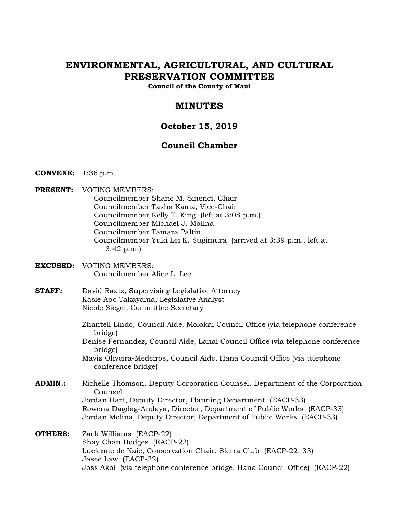# **ENVIRONMENTAL, AGRICULTURAL, AND CULTURAL PRESERVATION COMMITTEE**

**Council of the County of Maui** 

## **MINUTES**

## **October 15, 2019**

## **Council Chamber**

- **CONVENE:** 1:36 p.m.
- **PRESENT:** VOTING MEMBERS: Councilmember Shane M. Sinenci, Chair Councilmember Tasha Kama, Vice-Chair Councilmember Kelly T. King (left at 3:08 p.m.) Councilmember Michael J. Molina Councilmember Tamara Paltin Councilmember Yuki Lei K. Sugimura (arrived at 3:39 p.m., left at 3:42 p.m.)
- **EXCUSED:** VOTING MEMBERS: Councilmember Alice L. Lee
- **STAFF:** David Raatz, Supervising Legislative Attorney Kasie Apo Takayama, Legislative Analyst Nicole Siegel, Committee Secretary
	- Zhantell Lindo, Council Aide, Molokai Council Office (via telephone conference bridge)
	- Denise Fernandez, Council Aide, Lanai Council Office (via telephone conference bridge)
	- Mavis Oliveira-Medeiros, Council Aide, Hana Council Office (via telephone conference bridge)
- **ADMIN.:** Richelle Thomson, Deputy Corporation Counsel, Department of the Corporation Counsel Jordan Hart, Deputy Director, Planning Department (EACP-33) Rowena Dagdag-Andaya, Director, Department of Public Works (EACP-33) Jordan Molina, Deputy Director, Department of Public Works (EACP-33)
- **OTHERS:** Zack Williams (EACP-22) Shay Chan Hodges (EACP-22) Lucienne de Naie, Conservation Chair, Sierra Club (EACP-22, 33) Jasee Law (EACP-22) Joss Akoi (via telephone conference bridge, Hana Council Office) (EACP-22)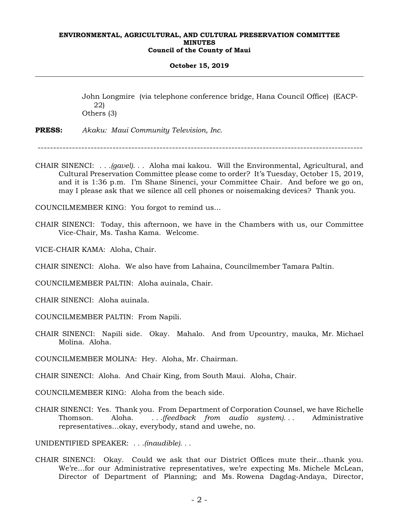#### **October 15, 2019**

John Longmire (via telephone conference bridge, Hana Council Office) (EACP-22) Others (3)

**PRESS:** *Akaku: Maui Community Television, Inc.*

 $-$ 

CHAIR SINENCI: *. . .(gavel). . .* Aloha mai kakou. Will the Environmental, Agricultural, and Cultural Preservation Committee please come to order? It's Tuesday, October 15, 2019, and it is 1:36 p.m. I'm Shane Sinenci, your Committee Chair. And before we go on, may I please ask that we silence all cell phones or noisemaking devices? Thank you.

COUNCILMEMBER KING: You forgot to remind us…

- CHAIR SINENCI: Today, this afternoon, we have in the Chambers with us, our Committee Vice-Chair, Ms. Tasha Kama. Welcome.
- VICE-CHAIR KAMA: Aloha, Chair.
- CHAIR SINENCI: Aloha. We also have from Lahaina, Councilmember Tamara Paltin.

COUNCILMEMBER PALTIN: Aloha auinala, Chair.

CHAIR SINENCI: Aloha auinala.

COUNCILMEMBER PALTIN: From Napili.

CHAIR SINENCI: Napili side. Okay. Mahalo. And from Upcountry, mauka, Mr. Michael Molina. Aloha.

COUNCILMEMBER MOLINA: Hey. Aloha, Mr. Chairman.

CHAIR SINENCI: Aloha. And Chair King, from South Maui. Aloha, Chair.

COUNCILMEMBER KING: Aloha from the beach side.

CHAIR SINENCI: Yes. Thank you. From Department of Corporation Counsel, we have Richelle Thomson. Aloha. *. . .(feedback from audio system). . .* Administrative representatives…okay, everybody, stand and uwehe, no.

UNIDENTIFIED SPEAKER: *. . .(inaudible). . .*

CHAIR SINENCI: Okay. Could we ask that our District Offices mute their…thank you. We're…for our Administrative representatives, we're expecting Ms. Michele McLean, Director of Department of Planning; and Ms. Rowena Dagdag-Andaya, Director,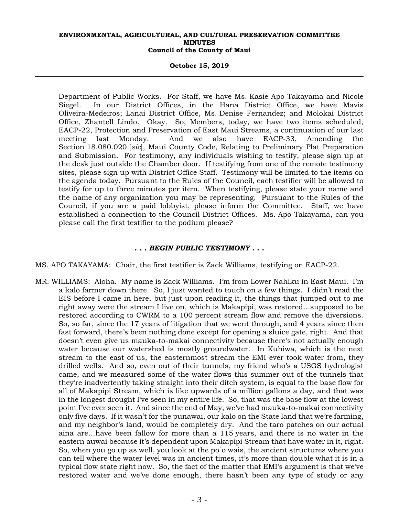#### **October 15, 2019**

Department of Public Works. For Staff, we have Ms. Kasie Apo Takayama and Nicole Siegel. In our District Offices, in the Hana District Office, we have Mavis Oliveira-Medeiros; Lanai District Office, Ms. Denise Fernandez; and Molokai District Office, Zhantell Lindo. Okay. So, Members, today, we have two items scheduled, EACP-22, Protection and Preservation of East Maui Streams, a continuation of our last meeting last Monday. And we also have EACP-33, Amending the Section 18.080.020 [*sic*], Maui County Code, Relating to Preliminary Plat Preparation and Submission. For testimony, any individuals wishing to testify, please sign up at the desk just outside the Chamber door. If testifying from one of the remote testimony sites, please sign up with District Office Staff. Testimony will be limited to the items on the agenda today. Pursuant to the Rules of the Council, each testifier will be allowed to testify for up to three minutes per item. When testifying, please state your name and the name of any organization you may be representing. Pursuant to the Rules of the Council, if you are a paid lobbyist, please inform the Committee. Staff, we have established a connection to the Council District Offices. Ms. Apo Takayama, can you please call the first testifier to the podium please?

## *. . . BEGIN PUBLIC TESTIMONY . . .*

MS. APO TAKAYAMA: Chair, the first testifier is Zack Williams, testifying on EACP-22.

MR. WILLIAMS: Aloha. My name is Zack Williams. I'm from Lower Nahiku in East Maui. I'm a kalo farmer down there. So, I just wanted to touch on a few things. I didn't read the EIS before I came in here, but just upon reading it, the things that jumped out to me right away were the stream I live on, which is Makapipi, was restored…supposed to be restored according to CWRM to a 100 percent stream flow and remove the diversions. So, so far, since the 17 years of litigation that we went through, and 4 years since then fast forward, there's been nothing done except for opening a sluice gate, right. And that doesn't even give us mauka-to-makai connectivity because there's not actually enough water because our watershed is mostly groundwater. In Kuhiwa, which is the next stream to the east of us, the easternmost stream the EMI ever took water from, they drilled wells. And so, even out of their tunnels, my friend who's a USGS hydrologist came, and we measured some of the water flows this summer out of the tunnels that they're inadvertently taking straight into their ditch system, is equal to the base flow for all of Makapipi Stream, which is like upwards of a million gallons a day, and that was in the longest drought I've seen in my entire life. So, that was the base flow at the lowest point I've ever seen it. And since the end of May, we've had mauka-to-makai connectivity only five days. If it wasn't for the punawai, our kalo on the State land that we're farming, and my neighbor's land, would be completely dry. And the taro patches on our actual aina are…have been fallow for more than a 115 years, and there is no water in the eastern auwai because it's dependent upon Makapipi Stream that have water in it, right. So, when you go up as well, you look at the po`o wais, the ancient structures where you can tell where the water level was in ancient times, it's more than double what it is in a typical flow state right now. So, the fact of the matter that EMI's argument is that we've restored water and we've done enough, there hasn't been any type of study or any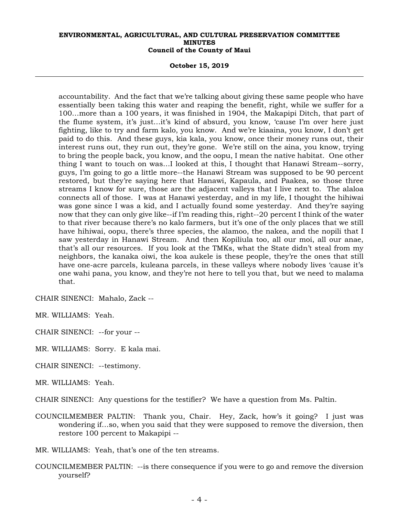#### **October 15, 2019**

accountability. And the fact that we're talking about giving these same people who have essentially been taking this water and reaping the benefit, right, while we suffer for a 100…more than a 100 years, it was finished in 1904, the Makapipi Ditch, that part of the flume system, it's just…it's kind of absurd, you know, 'cause I'm over here just fighting, like to try and farm kalo, you know. And we're kiaaina, you know, I don't get paid to do this. And these guys, kia kala, you know, once their money runs out, their interest runs out, they run out, they're gone. We're still on the aina, you know, trying to bring the people back, you know, and the oopu, I mean the native habitat. One other thing I want to touch on was…I looked at this, I thought that Hanawi Stream--sorry, guys, I'm going to go a little more--the Hanawi Stream was supposed to be 90 percent restored, but they're saying here that Hanawi, Kapaula, and Paakea, so those three streams I know for sure, those are the adjacent valleys that I live next to. The alaloa connects all of those. I was at Hanawi yesterday, and in my life, I thought the hihiwai was gone since I was a kid, and I actually found some yesterday. And they're saying now that they can only give like--if I'm reading this, right--20 percent I think of the water to that river because there's no kalo farmers, but it's one of the only places that we still have hihiwai, oopu, there's three species, the alamoo, the nakea, and the nopili that I saw yesterday in Hanawi Stream. And then Kopiliula too, all our moi, all our anae, that's all our resources. If you look at the TMKs, what the State didn't steal from my neighbors, the kanaka oiwi, the koa aukele is these people, they're the ones that still have one-acre parcels, kuleana parcels, in these valleys where nobody lives 'cause it's one wahi pana, you know, and they're not here to tell you that, but we need to malama that.

CHAIR SINENCI: Mahalo, Zack --

MR. WILLIAMS: Yeah.

CHAIR SINENCI: --for your --

- MR. WILLIAMS: Sorry. E kala mai.
- CHAIR SINENCI: --testimony.

MR. WILLIAMS: Yeah.

CHAIR SINENCI: Any questions for the testifier? We have a question from Ms. Paltin.

- COUNCILMEMBER PALTIN: Thank you, Chair. Hey, Zack, how's it going? I just was wondering if…so, when you said that they were supposed to remove the diversion, then restore 100 percent to Makapipi --
- MR. WILLIAMS: Yeah, that's one of the ten streams.
- COUNCILMEMBER PALTIN: --is there consequence if you were to go and remove the diversion yourself?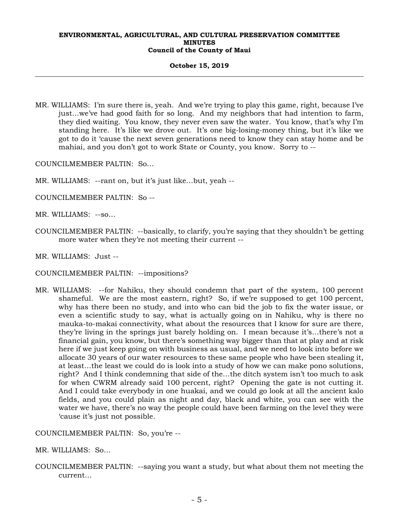#### **October 15, 2019**

MR. WILLIAMS: I'm sure there is, yeah. And we're trying to play this game, right, because I've just…we've had good faith for so long. And my neighbors that had intention to farm, they died waiting. You know, they never even saw the water. You know, that's why I'm standing here. It's like we drove out. It's one big-losing-money thing, but it's like we got to do it 'cause the next seven generations need to know they can stay home and be mahiai, and you don't got to work State or County, you know. Sorry to --

COUNCILMEMBER PALTIN: So…

- MR. WILLIAMS: --rant on, but it's just like…but, yeah --
- COUNCILMEMBER PALTIN: So --
- MR. WILLIAMS: --so…
- COUNCILMEMBER PALTIN: --basically, to clarify, you're saying that they shouldn't be getting more water when they're not meeting their current --
- MR. WILLIAMS: Just --
- COUNCILMEMBER PALTIN: --impositions?
- MR. WILLIAMS: --for Nahiku, they should condemn that part of the system, 100 percent shameful. We are the most eastern, right? So, if we're supposed to get 100 percent, why has there been no study, and into who can bid the job to fix the water issue, or even a scientific study to say, what is actually going on in Nahiku, why is there no mauka-to-makai connectivity, what about the resources that I know for sure are there, they're living in the springs just barely holding on. I mean because it's…there's not a financial gain, you know, but there's something way bigger than that at play and at risk here if we just keep going on with business as usual, and we need to look into before we allocate 30 years of our water resources to these same people who have been stealing it, at least…the least we could do is look into a study of how we can make pono solutions, right? And I think condemning that side of the…the ditch system isn't too much to ask for when CWRM already said 100 percent, right? Opening the gate is not cutting it. And I could take everybody in one huakai, and we could go look at all the ancient kalo fields, and you could plain as night and day, black and white, you can see with the water we have, there's no way the people could have been farming on the level they were 'cause it's just not possible.

COUNCILMEMBER PALTIN: So, you're --

MR. WILLIAMS: So…

COUNCILMEMBER PALTIN: --saying you want a study, but what about them not meeting the current…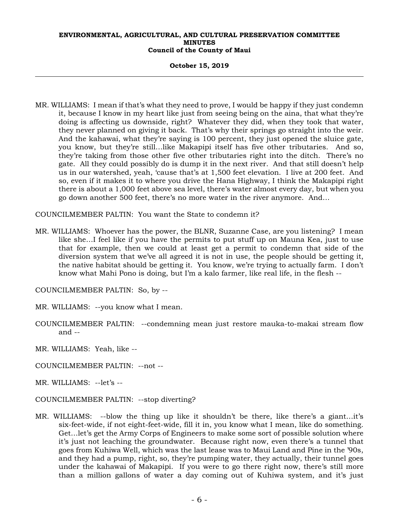**October 15, 2019** 

MR. WILLIAMS: I mean if that's what they need to prove, I would be happy if they just condemn it, because I know in my heart like just from seeing being on the aina, that what they're doing is affecting us downside, right? Whatever they did, when they took that water, they never planned on giving it back. That's why their springs go straight into the weir. And the kahawai, what they're saying is 100 percent, they just opened the sluice gate, you know, but they're still…like Makapipi itself has five other tributaries. And so, they're taking from those other five other tributaries right into the ditch. There's no gate. All they could possibly do is dump it in the next river. And that still doesn't help us in our watershed, yeah, 'cause that's at 1,500 feet elevation. I live at 200 feet. And so, even if it makes it to where you drive the Hana Highway, I think the Makapipi right there is about a 1,000 feet above sea level, there's water almost every day, but when you go down another 500 feet, there's no more water in the river anymore. And…

COUNCILMEMBER PALTIN: You want the State to condemn it?

MR. WILLIAMS: Whoever has the power, the BLNR, Suzanne Case, are you listening? I mean like she…I feel like if you have the permits to put stuff up on Mauna Kea, just to use that for example, then we could at least get a permit to condemn that side of the diversion system that we've all agreed it is not in use, the people should be getting it, the native habitat should be getting it. You know, we're trying to actually farm. I don't know what Mahi Pono is doing, but I'm a kalo farmer, like real life, in the flesh --

COUNCILMEMBER PALTIN: So, by --

MR. WILLIAMS: --you know what I mean.

COUNCILMEMBER PALTIN: --condemning mean just restore mauka-to-makai stream flow and --

MR. WILLIAMS: Yeah, like --

COUNCILMEMBER PALTIN: --not --

MR. WILLIAMS: --let's --

COUNCILMEMBER PALTIN: --stop diverting?

MR. WILLIAMS: --blow the thing up like it shouldn't be there, like there's a giant…it's six-feet-wide, if not eight-feet-wide, fill it in, you know what I mean, like do something. Get…let's get the Army Corps of Engineers to make some sort of possible solution where it's just not leaching the groundwater. Because right now, even there's a tunnel that goes from Kuhiwa Well, which was the last lease was to Maui Land and Pine in the '90s, and they had a pump, right, so, they're pumping water, they actually, their tunnel goes under the kahawai of Makapipi. If you were to go there right now, there's still more than a million gallons of water a day coming out of Kuhiwa system, and it's just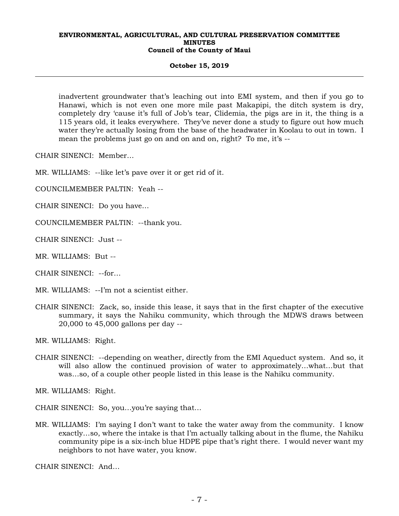#### **October 15, 2019**

inadvertent groundwater that's leaching out into EMI system, and then if you go to Hanawi, which is not even one more mile past Makapipi, the ditch system is dry, completely dry 'cause it's full of Job's tear, Clidemia, the pigs are in it, the thing is a 115 years old, it leaks everywhere. They've never done a study to figure out how much water they're actually losing from the base of the headwater in Koolau to out in town. I mean the problems just go on and on and on, right? To me, it's --

CHAIR SINENCI: Member…

MR. WILLIAMS: --like let's pave over it or get rid of it.

COUNCILMEMBER PALTIN: Yeah --

CHAIR SINENCI: Do you have…

COUNCILMEMBER PALTIN: --thank you.

CHAIR SINENCI: Just --

MR. WILLIAMS: But --

CHAIR SINENCI: --for…

MR. WILLIAMS: --I'm not a scientist either.

CHAIR SINENCI: Zack, so, inside this lease, it says that in the first chapter of the executive summary, it says the Nahiku community, which through the MDWS draws between 20,000 to 45,000 gallons per day --

MR. WILLIAMS: Right.

CHAIR SINENCI: --depending on weather, directly from the EMI Aqueduct system. And so, it will also allow the continued provision of water to approximately…what…but that was…so, of a couple other people listed in this lease is the Nahiku community.

MR. WILLIAMS: Right.

CHAIR SINENCI: So, you…you're saying that…

MR. WILLIAMS: I'm saying I don't want to take the water away from the community. I know exactly…so, where the intake is that I'm actually talking about in the flume, the Nahiku community pipe is a six-inch blue HDPE pipe that's right there. I would never want my neighbors to not have water, you know.

CHAIR SINENCI: And…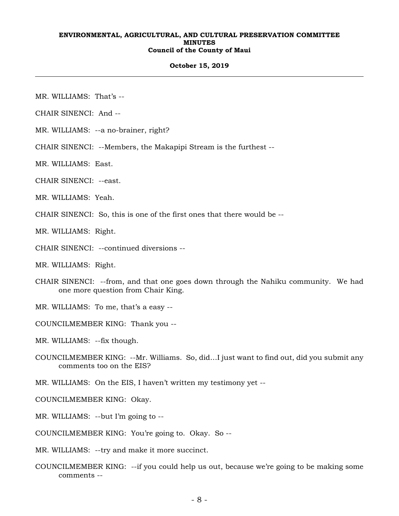#### **October 15, 2019**

MR. WILLIAMS: That's --

CHAIR SINENCI: And --

MR. WILLIAMS: --a no-brainer, right?

CHAIR SINENCI: --Members, the Makapipi Stream is the furthest --

MR. WILLIAMS: East.

CHAIR SINENCI: --east.

MR. WILLIAMS: Yeah.

CHAIR SINENCI: So, this is one of the first ones that there would be --

MR. WILLIAMS: Right.

CHAIR SINENCI: --continued diversions --

MR. WILLIAMS: Right.

CHAIR SINENCI: --from, and that one goes down through the Nahiku community. We had one more question from Chair King.

MR. WILLIAMS: To me, that's a easy --

COUNCILMEMBER KING: Thank you --

MR. WILLIAMS: --fix though.

COUNCILMEMBER KING: --Mr. Williams. So, did…I just want to find out, did you submit any comments too on the EIS?

MR. WILLIAMS: On the EIS, I haven't written my testimony yet --

COUNCILMEMBER KING: Okay.

MR. WILLIAMS: --but I'm going to --

COUNCILMEMBER KING: You're going to. Okay. So --

MR. WILLIAMS: --try and make it more succinct.

COUNCILMEMBER KING: --if you could help us out, because we're going to be making some comments --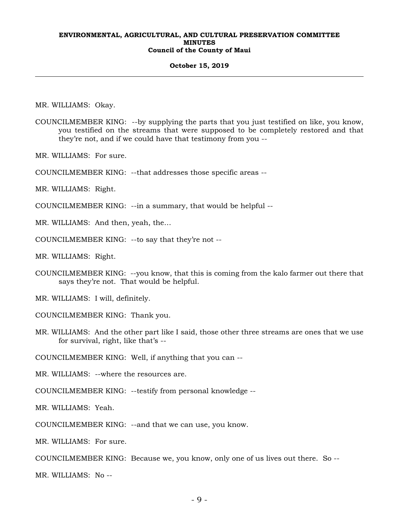#### **October 15, 2019**

MR. WILLIAMS: Okay.

- COUNCILMEMBER KING: --by supplying the parts that you just testified on like, you know, you testified on the streams that were supposed to be completely restored and that they're not, and if we could have that testimony from you --
- MR. WILLIAMS: For sure.
- COUNCILMEMBER KING: --that addresses those specific areas --
- MR. WILLIAMS: Right.
- COUNCILMEMBER KING: --in a summary, that would be helpful --

MR. WILLIAMS: And then, yeah, the…

COUNCILMEMBER KING: --to say that they're not --

MR. WILLIAMS: Right.

COUNCILMEMBER KING: --you know, that this is coming from the kalo farmer out there that says they're not. That would be helpful.

MR. WILLIAMS: I will, definitely.

COUNCILMEMBER KING: Thank you.

MR. WILLIAMS: And the other part like I said, those other three streams are ones that we use for survival, right, like that's --

COUNCILMEMBER KING: Well, if anything that you can --

MR. WILLIAMS: --where the resources are.

COUNCILMEMBER KING: --testify from personal knowledge --

MR. WILLIAMS: Yeah.

COUNCILMEMBER KING: --and that we can use, you know.

MR. WILLIAMS: For sure.

COUNCILMEMBER KING: Because we, you know, only one of us lives out there. So --

MR. WILLIAMS: No --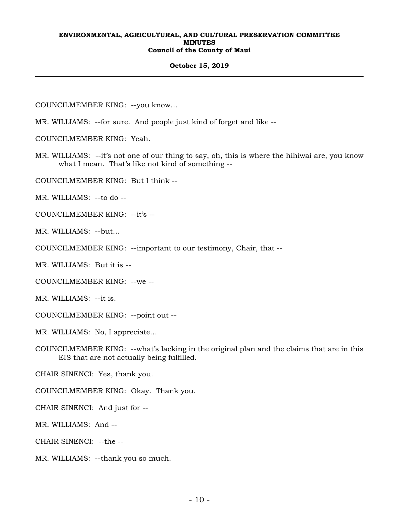#### **October 15, 2019**

COUNCILMEMBER KING: --you know…

MR. WILLIAMS: --for sure. And people just kind of forget and like --

COUNCILMEMBER KING: Yeah.

MR. WILLIAMS: --it's not one of our thing to say, oh, this is where the hihiwai are, you know what I mean. That's like not kind of something --

COUNCILMEMBER KING: But I think --

MR. WILLIAMS: --to do --

COUNCILMEMBER KING: --it's --

MR. WILLIAMS: --but…

COUNCILMEMBER KING: --important to our testimony, Chair, that --

MR. WILLIAMS: But it is --

COUNCILMEMBER KING: --we --

MR. WILLIAMS: --it is.

COUNCILMEMBER KING: --point out --

MR. WILLIAMS: No, I appreciate…

COUNCILMEMBER KING: --what's lacking in the original plan and the claims that are in this EIS that are not actually being fulfilled.

CHAIR SINENCI: Yes, thank you.

COUNCILMEMBER KING: Okay. Thank you.

CHAIR SINENCI: And just for --

MR. WILLIAMS: And --

CHAIR SINENCI: --the --

MR. WILLIAMS: --thank you so much.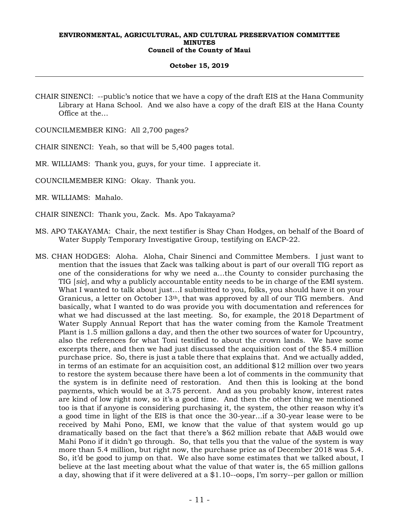#### **October 15, 2019**

CHAIR SINENCI: --public's notice that we have a copy of the draft EIS at the Hana Community Library at Hana School. And we also have a copy of the draft EIS at the Hana County Office at the…

COUNCILMEMBER KING: All 2,700 pages?

CHAIR SINENCI: Yeah, so that will be 5,400 pages total.

MR. WILLIAMS: Thank you, guys, for your time. I appreciate it.

COUNCILMEMBER KING: Okay. Thank you.

MR. WILLIAMS: Mahalo.

CHAIR SINENCI: Thank you, Zack. Ms. Apo Takayama?

- MS. APO TAKAYAMA: Chair, the next testifier is Shay Chan Hodges, on behalf of the Board of Water Supply Temporary Investigative Group, testifying on EACP-22.
- MS. CHAN HODGES: Aloha. Aloha, Chair Sinenci and Committee Members. I just want to mention that the issues that Zack was talking about is part of our overall TIG report as one of the considerations for why we need a…the County to consider purchasing the TIG [*sic*], and why a publicly accountable entity needs to be in charge of the EMI system. What I wanted to talk about just…I submitted to you, folks, you should have it on your Granicus, a letter on October 13<sup>th</sup>, that was approved by all of our TIG members. And basically, what I wanted to do was provide you with documentation and references for what we had discussed at the last meeting. So, for example, the 2018 Department of Water Supply Annual Report that has the water coming from the Kamole Treatment Plant is 1.5 million gallons a day, and then the other two sources of water for Upcountry, also the references for what Toni testified to about the crown lands. We have some excerpts there, and then we had just discussed the acquisition cost of the \$5.4 million purchase price. So, there is just a table there that explains that. And we actually added, in terms of an estimate for an acquisition cost, an additional \$12 million over two years to restore the system because there have been a lot of comments in the community that the system is in definite need of restoration. And then this is looking at the bond payments, which would be at 3.75 percent. And as you probably know, interest rates are kind of low right now, so it's a good time. And then the other thing we mentioned too is that if anyone is considering purchasing it, the system, the other reason why it's a good time in light of the EIS is that once the 30-year…if a 30-year lease were to be received by Mahi Pono, EMI, we know that the value of that system would go up dramatically based on the fact that there's a \$62 million rebate that A&B would owe Mahi Pono if it didn't go through. So, that tells you that the value of the system is way more than 5.4 million, but right now, the purchase price as of December 2018 was 5.4. So, it'd be good to jump on that. We also have some estimates that we talked about, I believe at the last meeting about what the value of that water is, the 65 million gallons a day, showing that if it were delivered at a \$1.10--oops, I'm sorry--per gallon or million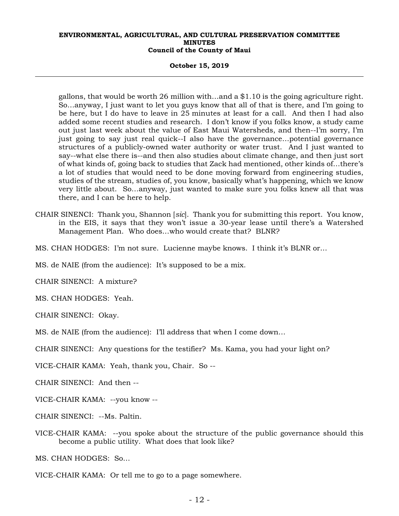## **October 15, 2019**

gallons, that would be worth 26 million with…and a \$1.10 is the going agriculture right. So…anyway, I just want to let you guys know that all of that is there, and I'm going to be here, but I do have to leave in 25 minutes at least for a call. And then I had also added some recent studies and research. I don't know if you folks know, a study came out just last week about the value of East Maui Watersheds, and then--I'm sorry, I'm just going to say just real quick--I also have the governance…potential governance structures of a publicly-owned water authority or water trust. And I just wanted to say--what else there is--and then also studies about climate change, and then just sort of what kinds of, going back to studies that Zack had mentioned, other kinds of…there's a lot of studies that would need to be done moving forward from engineering studies, studies of the stream, studies of, you know, basically what's happening, which we know very little about. So…anyway, just wanted to make sure you folks knew all that was there, and I can be here to help.

- CHAIR SINENCI: Thank you, Shannon [*sic*]. Thank you for submitting this report. You know, in the EIS, it says that they won't issue a 30-year lease until there's a Watershed Management Plan. Who does…who would create that? BLNR?
- MS. CHAN HODGES: I'm not sure. Lucienne maybe knows. I think it's BLNR or…
- MS. de NAIE (from the audience): It's supposed to be a mix.

CHAIR SINENCI: A mixture?

MS. CHAN HODGES: Yeah.

CHAIR SINENCI: Okay.

MS. de NAIE (from the audience): I'll address that when I come down…

CHAIR SINENCI: Any questions for the testifier? Ms. Kama, you had your light on?

VICE-CHAIR KAMA: Yeah, thank you, Chair. So --

CHAIR SINENCI: And then --

- VICE-CHAIR KAMA: --you know --
- CHAIR SINENCI: --Ms. Paltin.
- VICE-CHAIR KAMA: --you spoke about the structure of the public governance should this become a public utility. What does that look like?

MS. CHAN HODGES: So…

VICE-CHAIR KAMA: Or tell me to go to a page somewhere.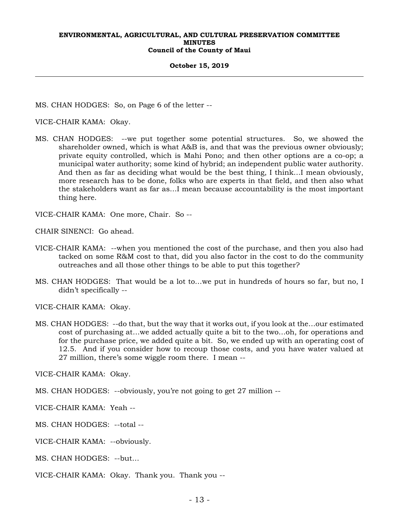#### **October 15, 2019**

MS. CHAN HODGES: So, on Page 6 of the letter --

VICE-CHAIR KAMA: Okay.

MS. CHAN HODGES: --we put together some potential structures. So, we showed the shareholder owned, which is what A&B is, and that was the previous owner obviously; private equity controlled, which is Mahi Pono; and then other options are a co-op; a municipal water authority; some kind of hybrid; an independent public water authority. And then as far as deciding what would be the best thing, I think…I mean obviously, more research has to be done, folks who are experts in that field, and then also what the stakeholders want as far as…I mean because accountability is the most important thing here.

VICE-CHAIR KAMA: One more, Chair. So --

CHAIR SINENCI: Go ahead.

- VICE-CHAIR KAMA: --when you mentioned the cost of the purchase, and then you also had tacked on some R&M cost to that, did you also factor in the cost to do the community outreaches and all those other things to be able to put this together?
- MS. CHAN HODGES: That would be a lot to…we put in hundreds of hours so far, but no, I didn't specifically --

VICE-CHAIR KAMA: Okay.

MS. CHAN HODGES: --do that, but the way that it works out, if you look at the…our estimated cost of purchasing at…we added actually quite a bit to the two…oh, for operations and for the purchase price, we added quite a bit. So, we ended up with an operating cost of 12.5. And if you consider how to recoup those costs, and you have water valued at 27 million, there's some wiggle room there. I mean --

VICE-CHAIR KAMA: Okay.

MS. CHAN HODGES: --obviously, you're not going to get 27 million --

VICE-CHAIR KAMA: Yeah --

MS. CHAN HODGES: --total --

VICE-CHAIR KAMA: --obviously.

MS. CHAN HODGES: --but…

VICE-CHAIR KAMA: Okay. Thank you. Thank you --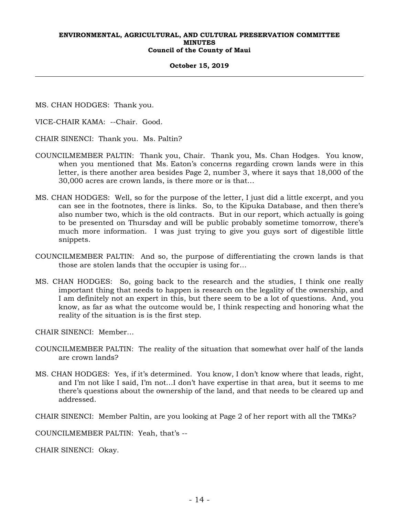#### **October 15, 2019**

MS. CHAN HODGES: Thank you.

VICE-CHAIR KAMA: --Chair. Good.

CHAIR SINENCI: Thank you. Ms. Paltin?

- COUNCILMEMBER PALTIN: Thank you, Chair. Thank you, Ms. Chan Hodges. You know, when you mentioned that Ms. Eaton's concerns regarding crown lands were in this letter, is there another area besides Page 2, number 3, where it says that 18,000 of the 30,000 acres are crown lands, is there more or is that…
- MS. CHAN HODGES: Well, so for the purpose of the letter, I just did a little excerpt, and you can see in the footnotes, there is links. So, to the Kipuka Database, and then there's also number two, which is the old contracts. But in our report, which actually is going to be presented on Thursday and will be public probably sometime tomorrow, there's much more information. I was just trying to give you guys sort of digestible little snippets.
- COUNCILMEMBER PALTIN: And so, the purpose of differentiating the crown lands is that those are stolen lands that the occupier is using for…
- MS. CHAN HODGES: So, going back to the research and the studies, I think one really important thing that needs to happen is research on the legality of the ownership, and I am definitely not an expert in this, but there seem to be a lot of questions. And, you know, as far as what the outcome would be, I think respecting and honoring what the reality of the situation is is the first step.

CHAIR SINENCI: Member…

- COUNCILMEMBER PALTIN: The reality of the situation that somewhat over half of the lands are crown lands?
- MS. CHAN HODGES: Yes, if it's determined. You know, I don't know where that leads, right, and I'm not like I said, I'm not…I don't have expertise in that area, but it seems to me there's questions about the ownership of the land, and that needs to be cleared up and addressed.

CHAIR SINENCI: Member Paltin, are you looking at Page 2 of her report with all the TMKs?

COUNCILMEMBER PALTIN: Yeah, that's --

CHAIR SINENCI: Okay.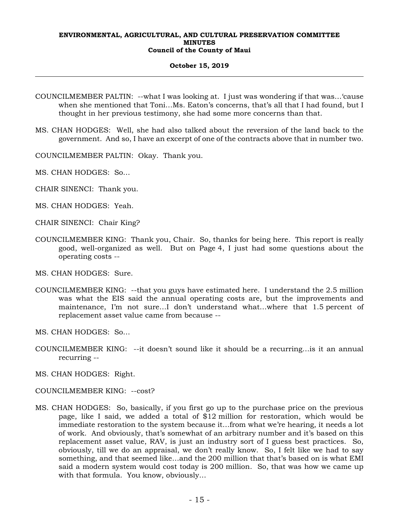## **October 15, 2019**

- COUNCILMEMBER PALTIN: --what I was looking at. I just was wondering if that was…'cause when she mentioned that Toni…Ms. Eaton's concerns, that's all that I had found, but I thought in her previous testimony, she had some more concerns than that.
- MS. CHAN HODGES: Well, she had also talked about the reversion of the land back to the government. And so, I have an excerpt of one of the contracts above that in number two.
- COUNCILMEMBER PALTIN: Okay. Thank you.
- MS. CHAN HODGES: So…
- CHAIR SINENCI: Thank you.
- MS. CHAN HODGES: Yeah.
- CHAIR SINENCI: Chair King?
- COUNCILMEMBER KING: Thank you, Chair. So, thanks for being here. This report is really good, well-organized as well. But on Page 4, I just had some questions about the operating costs --
- MS. CHAN HODGES: Sure.
- COUNCILMEMBER KING: --that you guys have estimated here. I understand the 2.5 million was what the EIS said the annual operating costs are, but the improvements and maintenance, I'm not sure…I don't understand what…where that 1.5 percent of replacement asset value came from because --
- MS. CHAN HODGES: So…
- COUNCILMEMBER KING: --it doesn't sound like it should be a recurring…is it an annual recurring --
- MS. CHAN HODGES: Right.
- COUNCILMEMBER KING: --cost?
- MS. CHAN HODGES: So, basically, if you first go up to the purchase price on the previous page, like I said, we added a total of \$12 million for restoration, which would be immediate restoration to the system because it…from what we're hearing, it needs a lot of work. And obviously, that's somewhat of an arbitrary number and it's based on this replacement asset value, RAV, is just an industry sort of I guess best practices. So, obviously, till we do an appraisal, we don't really know. So, I felt like we had to say something, and that seemed like…and the 200 million that that's based on is what EMI said a modern system would cost today is 200 million. So, that was how we came up with that formula. You know, obviously…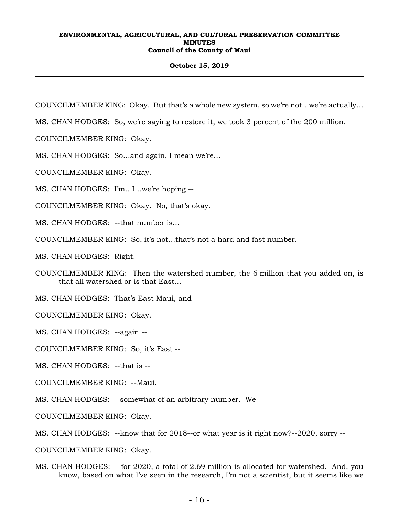## **October 15, 2019**

COUNCILMEMBER KING: Okay. But that's a whole new system, so we're not…we're actually…

MS. CHAN HODGES: So, we're saying to restore it, we took 3 percent of the 200 million.

COUNCILMEMBER KING: Okay.

MS. CHAN HODGES: So…and again, I mean we're…

COUNCILMEMBER KING: Okay.

MS. CHAN HODGES: I'm…I…we're hoping --

COUNCILMEMBER KING: Okay. No, that's okay.

MS. CHAN HODGES: --that number is…

COUNCILMEMBER KING: So, it's not…that's not a hard and fast number.

MS. CHAN HODGES: Right.

COUNCILMEMBER KING: Then the watershed number, the 6 million that you added on, is that all watershed or is that East…

MS. CHAN HODGES: That's East Maui, and --

COUNCILMEMBER KING: Okay.

MS. CHAN HODGES: --again --

COUNCILMEMBER KING: So, it's East --

MS. CHAN HODGES: --that is --

COUNCILMEMBER KING: --Maui.

MS. CHAN HODGES: --somewhat of an arbitrary number. We --

COUNCILMEMBER KING: Okay.

MS. CHAN HODGES: --know that for 2018--or what year is it right now?--2020, sorry --

COUNCILMEMBER KING: Okay.

MS. CHAN HODGES: --for 2020, a total of 2.69 million is allocated for watershed. And, you know, based on what I've seen in the research, I'm not a scientist, but it seems like we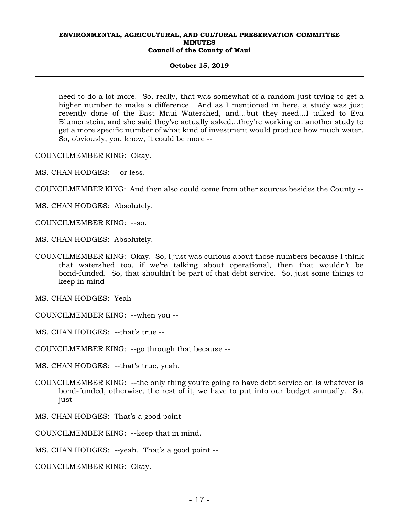#### **October 15, 2019**

need to do a lot more. So, really, that was somewhat of a random just trying to get a higher number to make a difference. And as I mentioned in here, a study was just recently done of the East Maui Watershed, and…but they need…I talked to Eva Blumenstein, and she said they've actually asked…they're working on another study to get a more specific number of what kind of investment would produce how much water. So, obviously, you know, it could be more --

COUNCILMEMBER KING: Okay.

MS. CHAN HODGES: --or less.

COUNCILMEMBER KING: And then also could come from other sources besides the County --

MS. CHAN HODGES: Absolutely.

- COUNCILMEMBER KING: --so.
- MS. CHAN HODGES: Absolutely.
- COUNCILMEMBER KING: Okay. So, I just was curious about those numbers because I think that watershed too, if we're talking about operational, then that wouldn't be bond-funded. So, that shouldn't be part of that debt service. So, just some things to keep in mind --

MS. CHAN HODGES: Yeah --

COUNCILMEMBER KING: --when you --

MS. CHAN HODGES: --that's true --

COUNCILMEMBER KING: --go through that because --

MS. CHAN HODGES: --that's true, yeah.

- COUNCILMEMBER KING: --the only thing you're going to have debt service on is whatever is bond-funded, otherwise, the rest of it, we have to put into our budget annually. So, just --
- MS. CHAN HODGES: That's a good point --

COUNCILMEMBER KING: --keep that in mind.

MS. CHAN HODGES: --yeah. That's a good point --

COUNCILMEMBER KING: Okay.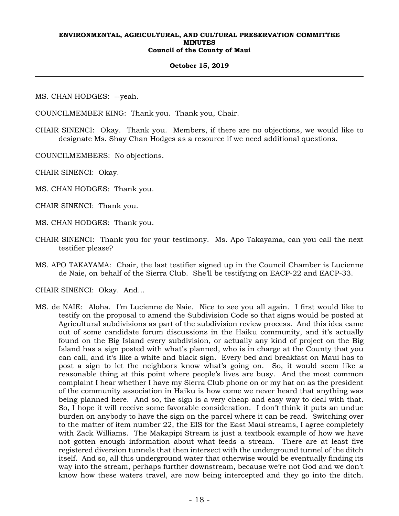#### **October 15, 2019**

MS. CHAN HODGES: --yeah.

COUNCILMEMBER KING: Thank you. Thank you, Chair.

CHAIR SINENCI: Okay. Thank you. Members, if there are no objections, we would like to designate Ms. Shay Chan Hodges as a resource if we need additional questions.

COUNCILMEMBERS: No objections.

CHAIR SINENCI: Okay.

- MS. CHAN HODGES: Thank you.
- CHAIR SINENCI: Thank you.
- MS. CHAN HODGES: Thank you.
- CHAIR SINENCI: Thank you for your testimony. Ms. Apo Takayama, can you call the next testifier please?
- MS. APO TAKAYAMA: Chair, the last testifier signed up in the Council Chamber is Lucienne de Naie, on behalf of the Sierra Club. She'll be testifying on EACP-22 and EACP-33.

CHAIR SINENCI: Okay. And…

MS. de NAIE: Aloha. I'm Lucienne de Naie. Nice to see you all again. I first would like to testify on the proposal to amend the Subdivision Code so that signs would be posted at Agricultural subdivisions as part of the subdivision review process. And this idea came out of some candidate forum discussions in the Haiku community, and it's actually found on the Big Island every subdivision, or actually any kind of project on the Big Island has a sign posted with what's planned, who is in charge at the County that you can call, and it's like a white and black sign. Every bed and breakfast on Maui has to post a sign to let the neighbors know what's going on. So, it would seem like a reasonable thing at this point where people's lives are busy. And the most common complaint I hear whether I have my Sierra Club phone on or my hat on as the president of the community association in Haiku is how come we never heard that anything was being planned here. And so, the sign is a very cheap and easy way to deal with that. So, I hope it will receive some favorable consideration. I don't think it puts an undue burden on anybody to have the sign on the parcel where it can be read. Switching over to the matter of item number 22, the EIS for the East Maui streams, I agree completely with Zack Williams. The Makapipi Stream is just a textbook example of how we have not gotten enough information about what feeds a stream. There are at least five registered diversion tunnels that then intersect with the underground tunnel of the ditch itself. And so, all this underground water that otherwise would be eventually finding its way into the stream, perhaps further downstream, because we're not God and we don't know how these waters travel, are now being intercepted and they go into the ditch.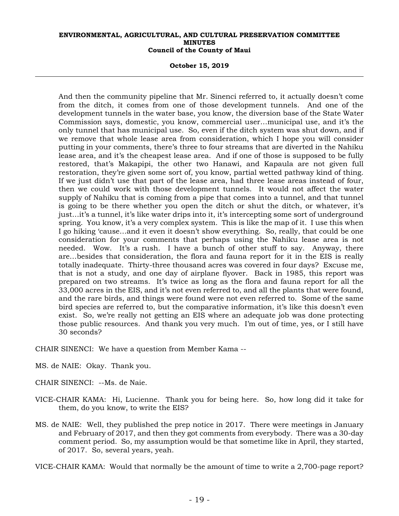**October 15, 2019** 

And then the community pipeline that Mr. Sinenci referred to, it actually doesn't come from the ditch, it comes from one of those development tunnels. And one of the development tunnels in the water base, you know, the diversion base of the State Water Commission says, domestic, you know, commercial user…municipal use, and it's the only tunnel that has municipal use. So, even if the ditch system was shut down, and if we remove that whole lease area from consideration, which I hope you will consider putting in your comments, there's three to four streams that are diverted in the Nahiku lease area, and it's the cheapest lease area. And if one of those is supposed to be fully restored, that's Makapipi, the other two Hanawi, and Kapaula are not given full restoration, they're given some sort of, you know, partial wetted pathway kind of thing. If we just didn't use that part of the lease area, had three lease areas instead of four, then we could work with those development tunnels. It would not affect the water supply of Nahiku that is coming from a pipe that comes into a tunnel, and that tunnel is going to be there whether you open the ditch or shut the ditch, or whatever, it's just…it's a tunnel, it's like water drips into it, it's intercepting some sort of underground spring. You know, it's a very complex system. This is like the map of it. I use this when I go hiking 'cause…and it even it doesn't show everything. So, really, that could be one consideration for your comments that perhaps using the Nahiku lease area is not needed. Wow. It's a rush. I have a bunch of other stuff to say. Anyway, there are…besides that consideration, the flora and fauna report for it in the EIS is really totally inadequate. Thirty-three thousand acres was covered in four days? Excuse me, that is not a study, and one day of airplane flyover. Back in 1985, this report was prepared on two streams. It's twice as long as the flora and fauna report for all the 33,000 acres in the EIS, and it's not even referred to, and all the plants that were found, and the rare birds, and things were found were not even referred to. Some of the same bird species are referred to, but the comparative information, it's like this doesn't even exist. So, we're really not getting an EIS where an adequate job was done protecting those public resources. And thank you very much. I'm out of time, yes, or I still have 30 seconds?

CHAIR SINENCI: We have a question from Member Kama --

MS. de NAIE: Okay. Thank you.

CHAIR SINENCI: --Ms. de Naie.

- VICE-CHAIR KAMA: Hi, Lucienne. Thank you for being here. So, how long did it take for them, do you know, to write the EIS?
- MS. de NAIE: Well, they published the prep notice in 2017. There were meetings in January and February of 2017, and then they got comments from everybody. There was a 30-day comment period. So, my assumption would be that sometime like in April, they started, of 2017. So, several years, yeah.

VICE-CHAIR KAMA: Would that normally be the amount of time to write a 2,700-page report?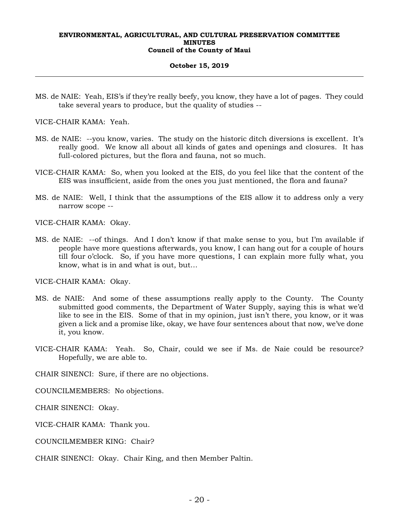#### **October 15, 2019**

MS. de NAIE: Yeah, EIS's if they're really beefy, you know, they have a lot of pages. They could take several years to produce, but the quality of studies --

VICE-CHAIR KAMA: Yeah.

- MS. de NAIE: --you know, varies. The study on the historic ditch diversions is excellent. It's really good. We know all about all kinds of gates and openings and closures. It has full-colored pictures, but the flora and fauna, not so much.
- VICE-CHAIR KAMA: So, when you looked at the EIS, do you feel like that the content of the EIS was insufficient, aside from the ones you just mentioned, the flora and fauna?
- MS. de NAIE: Well, I think that the assumptions of the EIS allow it to address only a very narrow scope --

VICE-CHAIR KAMA: Okay.

MS. de NAIE: --of things. And I don't know if that make sense to you, but I'm available if people have more questions afterwards, you know, I can hang out for a couple of hours till four o'clock. So, if you have more questions, I can explain more fully what, you know, what is in and what is out, but…

VICE-CHAIR KAMA: Okay.

- MS. de NAIE: And some of these assumptions really apply to the County. The County submitted good comments, the Department of Water Supply, saying this is what we'd like to see in the EIS. Some of that in my opinion, just isn't there, you know, or it was given a lick and a promise like, okay, we have four sentences about that now, we've done it, you know.
- VICE-CHAIR KAMA: Yeah. So, Chair, could we see if Ms. de Naie could be resource? Hopefully, we are able to.

CHAIR SINENCI: Sure, if there are no objections.

COUNCILMEMBERS: No objections.

CHAIR SINENCI: Okay.

VICE-CHAIR KAMA: Thank you.

COUNCILMEMBER KING: Chair?

CHAIR SINENCI: Okay. Chair King, and then Member Paltin.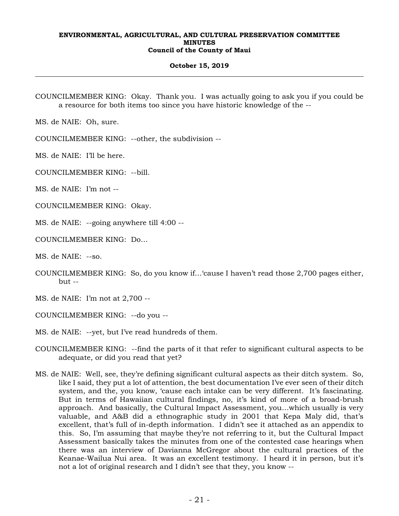#### **October 15, 2019**

COUNCILMEMBER KING: Okay. Thank you. I was actually going to ask you if you could be a resource for both items too since you have historic knowledge of the --

MS. de NAIE: Oh, sure.

COUNCILMEMBER KING: --other, the subdivision --

MS. de NAIE: I'll be here.

COUNCILMEMBER KING: --bill.

MS. de NAIE: I'm not --

COUNCILMEMBER KING: Okay.

MS. de NAIE: --going anywhere till 4:00 --

COUNCILMEMBER KING: Do…

MS. de NAIE: --so.

COUNCILMEMBER KING: So, do you know if…'cause I haven't read those 2,700 pages either,  $but -$ 

MS. de NAIE: I'm not at 2,700 --

COUNCILMEMBER KING: --do you --

- MS. de NAIE: --yet, but I've read hundreds of them.
- COUNCILMEMBER KING: --find the parts of it that refer to significant cultural aspects to be adequate, or did you read that yet?
- MS. de NAIE: Well, see, they're defining significant cultural aspects as their ditch system. So, like I said, they put a lot of attention, the best documentation I've ever seen of their ditch system, and the, you know, 'cause each intake can be very different. It's fascinating. But in terms of Hawaiian cultural findings, no, it's kind of more of a broad-brush approach. And basically, the Cultural Impact Assessment, you…which usually is very valuable, and A&B did a ethnographic study in 2001 that Kepa Maly did, that's excellent, that's full of in-depth information. I didn't see it attached as an appendix to this. So, I'm assuming that maybe they're not referring to it, but the Cultural Impact Assessment basically takes the minutes from one of the contested case hearings when there was an interview of Davianna McGregor about the cultural practices of the Keanae-Wailua Nui area. It was an excellent testimony. I heard it in person, but it's not a lot of original research and I didn't see that they, you know --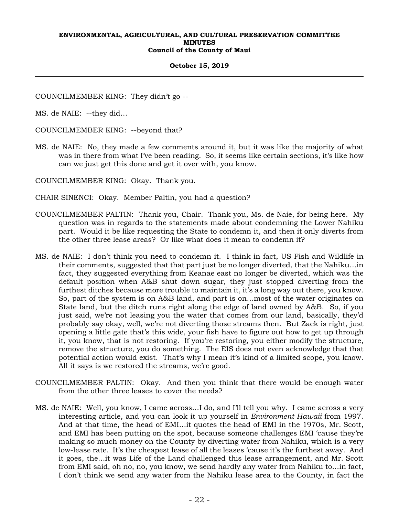## **October 15, 2019**

COUNCILMEMBER KING: They didn't go --

MS. de NAIE: --they did…

COUNCILMEMBER KING: --beyond that?

MS. de NAIE: No, they made a few comments around it, but it was like the majority of what was in there from what I've been reading. So, it seems like certain sections, it's like how can we just get this done and get it over with, you know.

COUNCILMEMBER KING: Okay. Thank you.

- CHAIR SINENCI: Okay. Member Paltin, you had a question?
- COUNCILMEMBER PALTIN: Thank you, Chair. Thank you, Ms. de Naie, for being here. My question was in regards to the statements made about condemning the Lower Nahiku part. Would it be like requesting the State to condemn it, and then it only diverts from the other three lease areas? Or like what does it mean to condemn it?
- MS. de NAIE: I don't think you need to condemn it. I think in fact, US Fish and Wildlife in their comments, suggested that that part just be no longer diverted, that the Nahiku…in fact, they suggested everything from Keanae east no longer be diverted, which was the default position when A&B shut down sugar, they just stopped diverting from the furthest ditches because more trouble to maintain it, it's a long way out there, you know. So, part of the system is on A&B land, and part is on…most of the water originates on State land, but the ditch runs right along the edge of land owned by A&B. So, if you just said, we're not leasing you the water that comes from our land, basically, they'd probably say okay, well, we're not diverting those streams then. But Zack is right, just opening a little gate that's this wide, your fish have to figure out how to get up through it, you know, that is not restoring. If you're restoring, you either modify the structure, remove the structure, you do something. The EIS does not even acknowledge that that potential action would exist. That's why I mean it's kind of a limited scope, you know. All it says is we restored the streams, we're good.
- COUNCILMEMBER PALTIN: Okay. And then you think that there would be enough water from the other three leases to cover the needs?
- MS. de NAIE: Well, you know, I came across…I do, and I'll tell you why. I came across a very interesting article, and you can look it up yourself in *Environment Hawaii* from 1997. And at that time, the head of EMI…it quotes the head of EMI in the 1970s, Mr. Scott, and EMI has been putting on the spot, because someone challenges EMI 'cause they're making so much money on the County by diverting water from Nahiku, which is a very low-lease rate. It's the cheapest lease of all the leases 'cause it's the furthest away. And it goes, the…it was Life of the Land challenged this lease arrangement, and Mr. Scott from EMI said, oh no, no, you know, we send hardly any water from Nahiku to…in fact, I don't think we send any water from the Nahiku lease area to the County, in fact the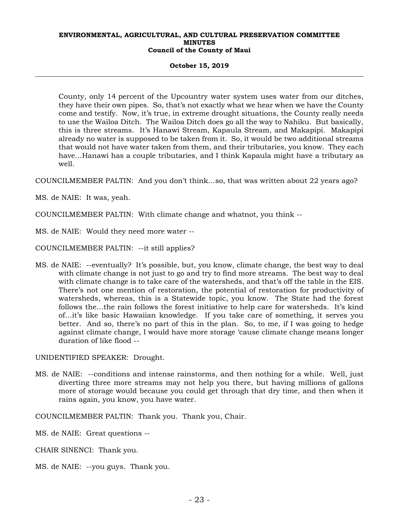#### **October 15, 2019**

County, only 14 percent of the Upcountry water system uses water from our ditches, they have their own pipes. So, that's not exactly what we hear when we have the County come and testify. Now, it's true, in extreme drought situations, the County really needs to use the Wailoa Ditch. The Wailoa Ditch does go all the way to Nahiku. But basically, this is three streams. It's Hanawi Stream, Kapaula Stream, and Makapipi. Makapipi already no water is supposed to be taken from it. So, it would be two additional streams that would not have water taken from them, and their tributaries, you know. They each have…Hanawi has a couple tributaries, and I think Kapaula might have a tributary as well.

COUNCILMEMBER PALTIN: And you don't think…so, that was written about 22 years ago?

MS. de NAIE: It was, yeah.

COUNCILMEMBER PALTIN: With climate change and whatnot, you think --

MS. de NAIE: Would they need more water --

COUNCILMEMBER PALTIN: --it still applies?

MS. de NAIE: --eventually? It's possible, but, you know, climate change, the best way to deal with climate change is not just to go and try to find more streams. The best way to deal with climate change is to take care of the watersheds, and that's off the table in the EIS. There's not one mention of restoration, the potential of restoration for productivity of watersheds, whereas, this is a Statewide topic, you know. The State had the forest follows the…the rain follows the forest initiative to help care for watersheds. It's kind of…it's like basic Hawaiian knowledge. If you take care of something, it serves you better. And so, there's no part of this in the plan. So, to me, if I was going to hedge against climate change, I would have more storage 'cause climate change means longer duration of like flood --

UNIDENTIFIED SPEAKER: Drought.

MS. de NAIE: --conditions and intense rainstorms, and then nothing for a while. Well, just diverting three more streams may not help you there, but having millions of gallons more of storage would because you could get through that dry time, and then when it rains again, you know, you have water.

COUNCILMEMBER PALTIN: Thank you. Thank you, Chair.

MS. de NAIE: Great questions --

CHAIR SINENCI: Thank you.

MS. de NAIE: --you guys. Thank you.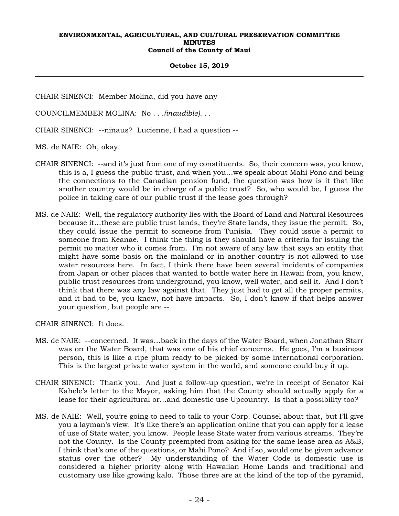#### **October 15, 2019**

CHAIR SINENCI: Member Molina, did you have any --

COUNCILMEMBER MOLINA: No *. . .(inaudible). . .*

CHAIR SINENCI: --ninaus? Lucienne, I had a question --

MS. de NAIE: Oh, okay.

- CHAIR SINENCI: --and it's just from one of my constituents. So, their concern was, you know, this is a, I guess the public trust, and when you…we speak about Mahi Pono and being the connections to the Canadian pension fund, the question was how is it that like another country would be in charge of a public trust? So, who would be, I guess the police in taking care of our public trust if the lease goes through?
- MS. de NAIE: Well, the regulatory authority lies with the Board of Land and Natural Resources because it…these are public trust lands, they're State lands, they issue the permit. So, they could issue the permit to someone from Tunisia. They could issue a permit to someone from Keanae. I think the thing is they should have a criteria for issuing the permit no matter who it comes from. I'm not aware of any law that says an entity that might have some basis on the mainland or in another country is not allowed to use water resources here. In fact, I think there have been several incidents of companies from Japan or other places that wanted to bottle water here in Hawaii from, you know, public trust resources from underground, you know, well water, and sell it. And I don't think that there was any law against that. They just had to get all the proper permits, and it had to be, you know, not have impacts. So, I don't know if that helps answer your question, but people are --

CHAIR SINENCI: It does.

- MS. de NAIE: --concerned. It was…back in the days of the Water Board, when Jonathan Starr was on the Water Board, that was one of his chief concerns. He goes, I'm a business person, this is like a ripe plum ready to be picked by some international corporation. This is the largest private water system in the world, and someone could buy it up.
- CHAIR SINENCI: Thank you. And just a follow-up question, we're in receipt of Senator Kai Kahele's letter to the Mayor, asking him that the County should actually apply for a lease for their agricultural or…and domestic use Upcountry. Is that a possibility too?
- MS. de NAIE: Well, you're going to need to talk to your Corp. Counsel about that, but I'll give you a layman's view. It's like there's an application online that you can apply for a lease of use of State water, you know. People lease State water from various streams. They're not the County. Is the County preempted from asking for the same lease area as A&B, I think that's one of the questions, or Mahi Pono? And if so, would one be given advance status over the other? My understanding of the Water Code is domestic use is considered a higher priority along with Hawaiian Home Lands and traditional and customary use like growing kalo. Those three are at the kind of the top of the pyramid,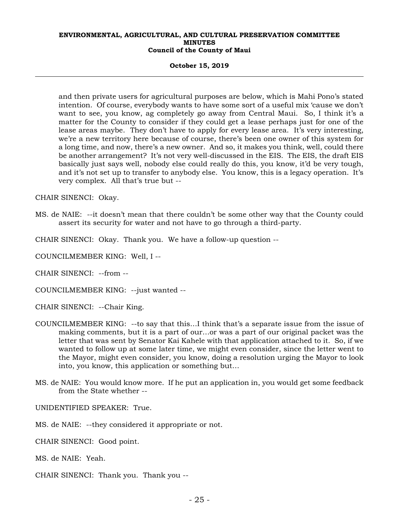#### **October 15, 2019**

and then private users for agricultural purposes are below, which is Mahi Pono's stated intention. Of course, everybody wants to have some sort of a useful mix 'cause we don't want to see, you know, ag completely go away from Central Maui. So, I think it's a matter for the County to consider if they could get a lease perhaps just for one of the lease areas maybe. They don't have to apply for every lease area. It's very interesting, we're a new territory here because of course, there's been one owner of this system for a long time, and now, there's a new owner. And so, it makes you think, well, could there be another arrangement? It's not very well-discussed in the EIS. The EIS, the draft EIS basically just says well, nobody else could really do this, you know, it'd be very tough, and it's not set up to transfer to anybody else. You know, this is a legacy operation. It's very complex. All that's true but --

CHAIR SINENCI: Okay.

MS. de NAIE: --it doesn't mean that there couldn't be some other way that the County could assert its security for water and not have to go through a third-party.

CHAIR SINENCI: Okay. Thank you. We have a follow-up question --

COUNCILMEMBER KING: Well, I --

CHAIR SINENCI: --from --

COUNCILMEMBER KING: --just wanted --

CHAIR SINENCI: --Chair King.

- COUNCILMEMBER KING: --to say that this…I think that's a separate issue from the issue of making comments, but it is a part of our…or was a part of our original packet was the letter that was sent by Senator Kai Kahele with that application attached to it. So, if we wanted to follow up at some later time, we might even consider, since the letter went to the Mayor, might even consider, you know, doing a resolution urging the Mayor to look into, you know, this application or something but…
- MS. de NAIE: You would know more. If he put an application in, you would get some feedback from the State whether --

UNIDENTIFIED SPEAKER: True.

MS. de NAIE: --they considered it appropriate or not.

CHAIR SINENCI: Good point.

MS. de NAIE: Yeah.

CHAIR SINENCI: Thank you. Thank you --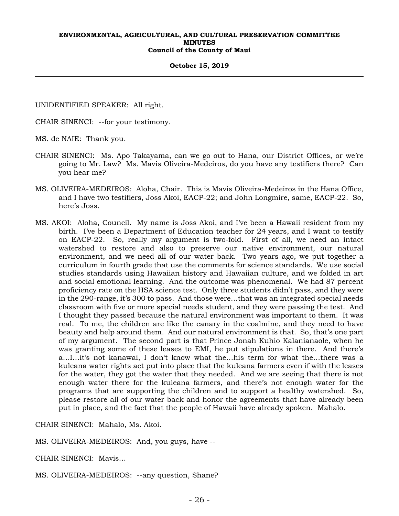#### **October 15, 2019**

UNIDENTIFIED SPEAKER: All right.

CHAIR SINENCI: --for your testimony.

MS. de NAIE: Thank you.

- CHAIR SINENCI: Ms. Apo Takayama, can we go out to Hana, our District Offices, or we're going to Mr. Law? Ms. Mavis Oliveira-Medeiros, do you have any testifiers there? Can you hear me?
- MS. OLIVEIRA-MEDEIROS: Aloha, Chair. This is Mavis Oliveira-Medeiros in the Hana Office, and I have two testifiers, Joss Akoi, EACP-22; and John Longmire, same, EACP-22. So, here's Joss.
- MS. AKOI: Aloha, Council. My name is Joss Akoi, and I've been a Hawaii resident from my birth. I've been a Department of Education teacher for 24 years, and I want to testify on EACP-22. So, really my argument is two-fold. First of all, we need an intact watershed to restore and also to preserve our native environment, our natural environment, and we need all of our water back. Two years ago, we put together a curriculum in fourth grade that use the comments for science standards. We use social studies standards using Hawaiian history and Hawaiian culture, and we folded in art and social emotional learning. And the outcome was phenomenal. We had 87 percent proficiency rate on the HSA science test. Only three students didn't pass, and they were in the 290-range, it's 300 to pass. And those were…that was an integrated special needs classroom with five or more special needs student, and they were passing the test. And I thought they passed because the natural environment was important to them. It was real. To me, the children are like the canary in the coalmine, and they need to have beauty and help around them. And our natural environment is that. So, that's one part of my argument. The second part is that Prince Jonah Kuhio Kalanianaole, when he was granting some of these leases to EMI, he put stipulations in there. And there's a…I…it's not kanawai, I don't know what the…his term for what the…there was a kuleana water rights act put into place that the kuleana farmers even if with the leases for the water, they got the water that they needed. And we are seeing that there is not enough water there for the kuleana farmers, and there's not enough water for the programs that are supporting the children and to support a healthy watershed. So, please restore all of our water back and honor the agreements that have already been put in place, and the fact that the people of Hawaii have already spoken. Mahalo.

CHAIR SINENCI: Mahalo, Ms. Akoi.

MS. OLIVEIRA-MEDEIROS: And, you guys, have --

CHAIR SINENCI: Mavis…

MS. OLIVEIRA-MEDEIROS: --any question, Shane?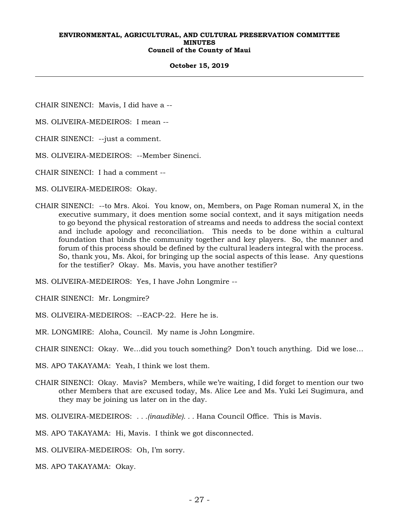#### **October 15, 2019**

CHAIR SINENCI: Mavis, I did have a --

MS. OLIVEIRA-MEDEIROS: I mean --

CHAIR SINENCI: --just a comment.

MS. OLIVEIRA-MEDEIROS: --Member Sinenci.

CHAIR SINENCI: I had a comment --

MS. OLIVEIRA-MEDEIROS: Okay.

CHAIR SINENCI: --to Mrs. Akoi. You know, on, Members, on Page Roman numeral X, in the executive summary, it does mention some social context, and it says mitigation needs to go beyond the physical restoration of streams and needs to address the social context and include apology and reconciliation. This needs to be done within a cultural foundation that binds the community together and key players. So, the manner and forum of this process should be defined by the cultural leaders integral with the process. So, thank you, Ms. Akoi, for bringing up the social aspects of this lease. Any questions for the testifier? Okay. Ms. Mavis, you have another testifier?

MS. OLIVEIRA-MEDEIROS: Yes, I have John Longmire --

CHAIR SINENCI: Mr. Longmire?

MS. OLIVEIRA-MEDEIROS: --EACP-22. Here he is.

MR. LONGMIRE: Aloha, Council. My name is John Longmire.

CHAIR SINENCI: Okay. We…did you touch something? Don't touch anything. Did we lose…

MS. APO TAKAYAMA: Yeah, I think we lost them.

CHAIR SINENCI: Okay. Mavis? Members, while we're waiting, I did forget to mention our two other Members that are excused today, Ms. Alice Lee and Ms. Yuki Lei Sugimura, and they may be joining us later on in the day.

MS. OLIVEIRA-MEDEIROS: *. . .(inaudible). . .* Hana Council Office. This is Mavis.

MS. APO TAKAYAMA: Hi, Mavis. I think we got disconnected.

MS. OLIVEIRA-MEDEIROS: Oh, I'm sorry.

MS. APO TAKAYAMA: Okay.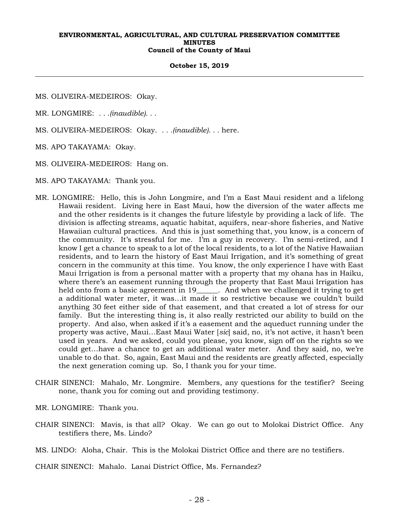#### **October 15, 2019**

- MS. OLIVEIRA-MEDEIROS: Okay.
- MR. LONGMIRE: *. . .(inaudible). . .*
- MS. OLIVEIRA-MEDEIROS: Okay. *. . .(inaudible). . .* here.
- MS. APO TAKAYAMA: Okay.
- MS. OLIVEIRA-MEDEIROS: Hang on.
- MS. APO TAKAYAMA: Thank you.
- MR. LONGMIRE: Hello, this is John Longmire, and I'm a East Maui resident and a lifelong Hawaii resident. Living here in East Maui, how the diversion of the water affects me and the other residents is it changes the future lifestyle by providing a lack of life. The division is affecting streams, aquatic habitat, aquifers, near-shore fisheries, and Native Hawaiian cultural practices. And this is just something that, you know, is a concern of the community. It's stressful for me. I'm a guy in recovery. I'm semi-retired, and I know I get a chance to speak to a lot of the local residents, to a lot of the Native Hawaiian residents, and to learn the history of East Maui Irrigation, and it's something of great concern in the community at this time. You know, the only experience I have with East Maui Irrigation is from a personal matter with a property that my ohana has in Haiku, where there's an easement running through the property that East Maui Irrigation has held onto from a basic agreement in 19\_\_\_\_\_\_. And when we challenged it trying to get a additional water meter, it was…it made it so restrictive because we couldn't build anything 30 feet either side of that easement, and that created a lot of stress for our family. But the interesting thing is, it also really restricted our ability to build on the property. And also, when asked if it's a easement and the aqueduct running under the property was active, Maui…East Maui Water [*sic*] said, no, it's not active, it hasn't been used in years. And we asked, could you please, you know, sign off on the rights so we could get…have a chance to get an additional water meter. And they said, no, we're unable to do that. So, again, East Maui and the residents are greatly affected, especially the next generation coming up. So, I thank you for your time.
- CHAIR SINENCI: Mahalo, Mr. Longmire. Members, any questions for the testifier? Seeing none, thank you for coming out and providing testimony.
- MR. LONGMIRE: Thank you.
- CHAIR SINENCI: Mavis, is that all? Okay. We can go out to Molokai District Office. Any testifiers there, Ms. Lindo?

MS. LINDO: Aloha, Chair. This is the Molokai District Office and there are no testifiers.

CHAIR SINENCI: Mahalo. Lanai District Office, Ms. Fernandez?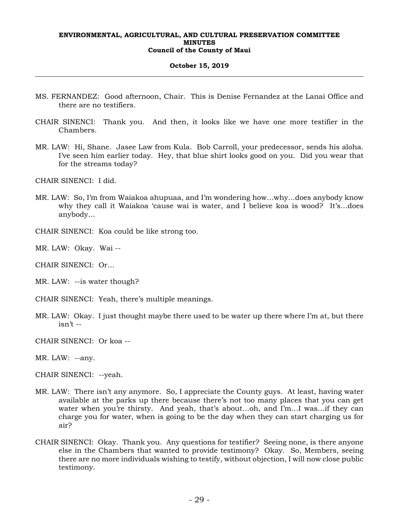#### **October 15, 2019**

- MS. FERNANDEZ: Good afternoon, Chair. This is Denise Fernandez at the Lanai Office and there are no testifiers.
- CHAIR SINENCI: Thank you. And then, it looks like we have one more testifier in the Chambers.
- MR. LAW: Hi, Shane. Jasee Law from Kula. Bob Carroll, your predecessor, sends his aloha. I've seen him earlier today. Hey, that blue shirt looks good on you. Did you wear that for the streams today?

CHAIR SINENCI: I did.

MR. LAW: So, I'm from Waiakoa ahupuaa, and I'm wondering how…why…does anybody know why they call it Waiakoa 'cause wai is water, and I believe koa is wood? It's…does anybody…

CHAIR SINENCI: Koa could be like strong too.

MR. LAW: Okay. Wai --

CHAIR SINENCI: Or…

MR. LAW: --is water though?

CHAIR SINENCI: Yeah, there's multiple meanings.

MR. LAW: Okay. I just thought maybe there used to be water up there where I'm at, but there isn't --

CHAIR SINENCI: Or koa --

MR. LAW: --any.

CHAIR SINENCI: --yeah.

- MR. LAW: There isn't any anymore. So, I appreciate the County guys. At least, having water available at the parks up there because there's not too many places that you can get water when you're thirsty. And yeah, that's about...oh, and I'm...I was...if they can charge you for water, when is going to be the day when they can start charging us for air?
- CHAIR SINENCI: Okay. Thank you. Any questions for testifier? Seeing none, is there anyone else in the Chambers that wanted to provide testimony? Okay. So, Members, seeing there are no more individuals wishing to testify, without objection, I will now close public testimony.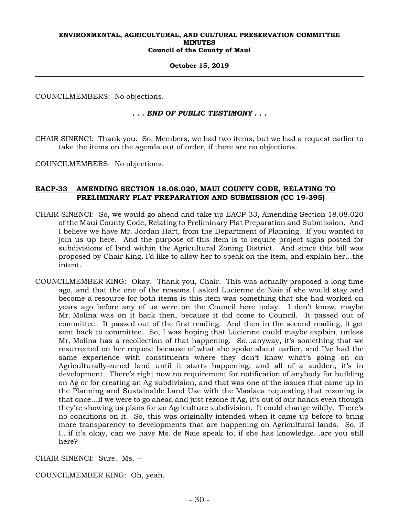#### **October 15, 2019**

COUNCILMEMBERS: No objections.

## *. . . END OF PUBLIC TESTIMONY . . .*

CHAIR SINENCI: Thank you. So, Members, we had two items, but we had a request earlier to take the items on the agenda out of order, if there are no objections.

COUNCILMEMBERS: No objections.

## **EACP-33 AMENDING SECTION 18.08.020, MAUI COUNTY CODE, RELATING TO PRELIMINARY PLAT PREPARATION AND SUBMISSION (CC 19-395)**

- CHAIR SINENCI: So, we would go ahead and take up EACP-33, Amending Section 18.08.020 of the Maui County Code, Relating to Preliminary Plat Preparation and Submission. And I believe we have Mr. Jordan Hart, from the Department of Planning. If you wanted to join us up here. And the purpose of this item is to require project signs posted for subdivisions of land within the Agricultural Zoning District. And since this bill was proposed by Chair King, I'd like to allow her to speak on the item, and explain her…the intent.
- COUNCILMEMBER KING: Okay. Thank you, Chair. This was actually proposed a long time ago, and that the one of the reasons I asked Lucienne de Naie if she would stay and become a resource for both items is this item was something that she had worked on years ago before any of us were on the Council here today. I don't know, maybe Mr. Molina was on it back then, because it did come to Council. It passed out of committee. It passed out of the first reading. And then in the second reading, it got sent back to committee. So, I was hoping that Lucienne could maybe explain, unless Mr. Molina has a recollection of that happening. So…anyway, it's something that we resurrected on her request because of what she spoke about earlier, and I've had the same experience with constituents where they don't know what's going on on Agriculturally-zoned land until it starts happening, and all of a sudden, it's in development. There's right now no requirement for notification of anybody for building on Ag or for creating an Ag subdivision, and that was one of the issues that came up in the Planning and Sustainable Land Use with the Maalaea requesting that rezoning is that once…if we were to go ahead and just rezone it Ag, it's out of our hands even though they're showing us plans for an Agriculture subdivision. It could change wildly. There's no conditions on it. So, this was originally intended when it came up before to bring more transparency to developments that are happening on Agricultural lands. So, if I…if it's okay, can we have Ms. de Naie speak to, if she has knowledge…are you still here?

CHAIR SINENCI: Sure. Ms. --

COUNCILMEMBER KING: Oh, yeah.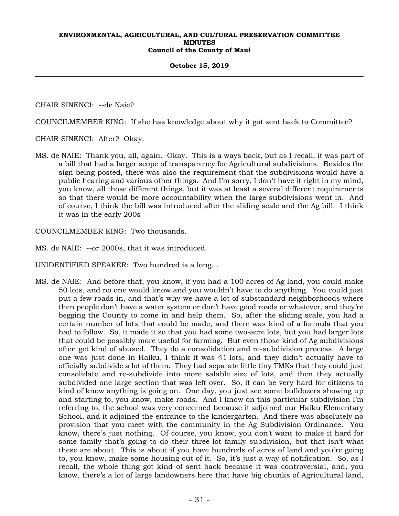#### **October 15, 2019**

CHAIR SINENCI: --de Naie?

COUNCILMEMBER KING: If she has knowledge about why it got sent back to Committee?

CHAIR SINENCI: After? Okay.

MS. de NAIE: Thank you, all, again. Okay. This is a ways back, but as I recall, it was part of a bill that had a larger scope of transparency for Agricultural subdivisions. Besides the sign being posted, there was also the requirement that the subdivisions would have a public hearing and various other things. And I'm sorry, I don't have it right in my mind, you know, all those different things, but it was at least a several different requirements so that there would be more accountability when the large subdivisions went in. And of course, I think the bill was introduced after the sliding scale and the Ag bill. I think it was in the early 200s --

COUNCILMEMBER KING: Two thousands.

MS. de NAIE: --or 2000s, that it was introduced.

UNIDENTIFIED SPEAKER: Two hundred is a long…

MS. de NAIE: And before that, you know, if you had a 100 acres of Ag land, you could make 50 lots, and no one would know and you wouldn't have to do anything. You could just put a few roads in, and that's why we have a lot of substandard neighborhoods where then people don't have a water system or don't have good roads or whatever, and they're begging the County to come in and help them. So, after the sliding scale, you had a certain number of lots that could be made, and there was kind of a formula that you had to follow. So, it made it so that you had some two-acre lots, but you had larger lots that could be possibly more useful for farming. But even those kind of Ag subdivisions often get kind of abused. They do a consolidation and re-subdivision process. A large one was just done in Haiku, I think it was 41 lots, and they didn't actually have to officially subdivide a lot of them. They had separate little tiny TMKs that they could just consolidate and re-subdivide into more salable size of lots, and then they actually subdivided one large section that was left over. So, it can be very hard for citizens to kind of know anything is going on. One day, you just see some bulldozers showing up and starting to, you know, make roads. And I know on this particular subdivision I'm referring to, the school was very concerned because it adjoined our Haiku Elementary School, and it adjoined the entrance to the kindergarten. And there was absolutely no provision that you meet with the community in the Ag Subdivision Ordinance. You know, there's just nothing. Of course, you know, you don't want to make it hard for some family that's going to do their three-lot family subdivision, but that isn't what these are about. This is about if you have hundreds of acres of land and you're going to, you know, make some housing out of it. So, it's just a way of notification. So, as I recall, the whole thing got kind of sent back because it was controversial, and, you know, there's a lot of large landowners here that have big chunks of Agricultural land,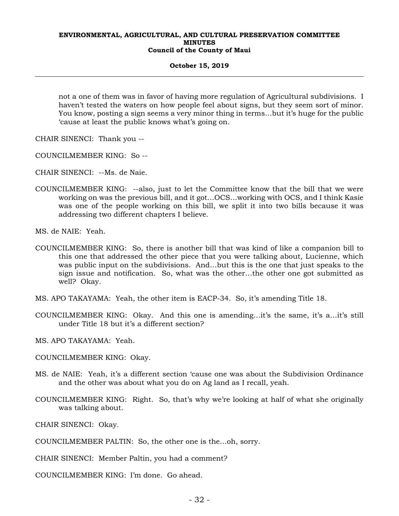#### **October 15, 2019**

not a one of them was in favor of having more regulation of Agricultural subdivisions. I haven't tested the waters on how people feel about signs, but they seem sort of minor. You know, posting a sign seems a very minor thing in terms…but it's huge for the public 'cause at least the public knows what's going on.

CHAIR SINENCI: Thank you --

- COUNCILMEMBER KING: So --
- CHAIR SINENCI: --Ms. de Naie.
- COUNCILMEMBER KING: --also, just to let the Committee know that the bill that we were working on was the previous bill, and it got…OCS…working with OCS, and I think Kasie was one of the people working on this bill, we split it into two bills because it was addressing two different chapters I believe.

MS. de NAIE: Yeah.

- COUNCILMEMBER KING: So, there is another bill that was kind of like a companion bill to this one that addressed the other piece that you were talking about, Lucienne, which was public input on the subdivisions. And…but this is the one that just speaks to the sign issue and notification. So, what was the other…the other one got submitted as well? Okay.
- MS. APO TAKAYAMA: Yeah, the other item is EACP-34. So, it's amending Title 18.
- COUNCILMEMBER KING: Okay. And this one is amending…it's the same, it's a…it's still under Title 18 but it's a different section?

MS. APO TAKAYAMA: Yeah.

- COUNCILMEMBER KING: Okay.
- MS. de NAIE: Yeah, it's a different section 'cause one was about the Subdivision Ordinance and the other was about what you do on Ag land as I recall, yeah.
- COUNCILMEMBER KING: Right. So, that's why we're looking at half of what she originally was talking about.

CHAIR SINENCI: Okay.

COUNCILMEMBER PALTIN: So, the other one is the…oh, sorry.

CHAIR SINENCI: Member Paltin, you had a comment?

COUNCILMEMBER KING: I'm done. Go ahead.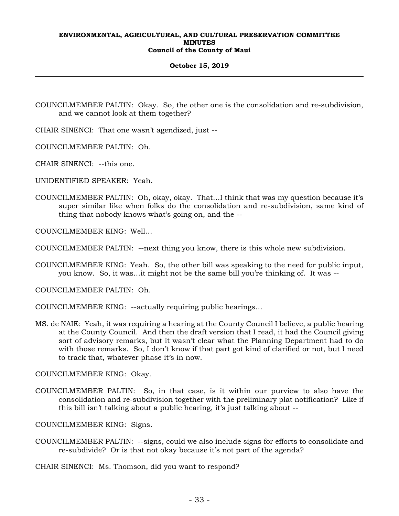## **October 15, 2019**

COUNCILMEMBER PALTIN: Okay. So, the other one is the consolidation and re-subdivision, and we cannot look at them together?

CHAIR SINENCI: That one wasn't agendized, just --

COUNCILMEMBER PALTIN: Oh.

CHAIR SINENCI: --this one.

UNIDENTIFIED SPEAKER: Yeah.

COUNCILMEMBER PALTIN: Oh, okay, okay. That…I think that was my question because it's super similar like when folks do the consolidation and re-subdivision, same kind of thing that nobody knows what's going on, and the --

COUNCILMEMBER KING: Well…

COUNCILMEMBER PALTIN: --next thing you know, there is this whole new subdivision.

COUNCILMEMBER KING: Yeah. So, the other bill was speaking to the need for public input, you know. So, it was…it might not be the same bill you're thinking of. It was --

COUNCILMEMBER PALTIN: Oh.

COUNCILMEMBER KING: --actually requiring public hearings…

MS. de NAIE: Yeah, it was requiring a hearing at the County Council I believe, a public hearing at the County Council. And then the draft version that I read, it had the Council giving sort of advisory remarks, but it wasn't clear what the Planning Department had to do with those remarks. So, I don't know if that part got kind of clarified or not, but I need to track that, whatever phase it's in now.

COUNCILMEMBER KING: Okay.

COUNCILMEMBER PALTIN: So, in that case, is it within our purview to also have the consolidation and re-subdivision together with the preliminary plat notification? Like if this bill isn't talking about a public hearing, it's just talking about --

COUNCILMEMBER KING: Signs.

COUNCILMEMBER PALTIN: --signs, could we also include signs for efforts to consolidate and re-subdivide? Or is that not okay because it's not part of the agenda?

CHAIR SINENCI: Ms. Thomson, did you want to respond?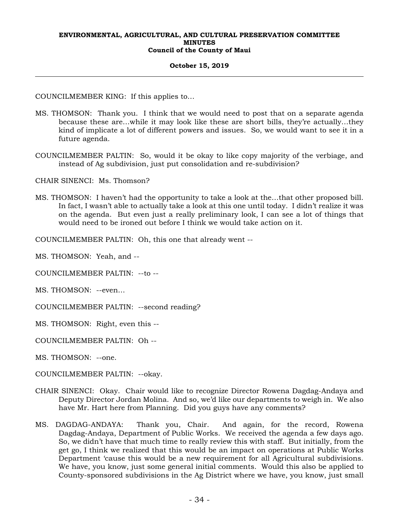#### **October 15, 2019**

COUNCILMEMBER KING: If this applies to…

- MS. THOMSON: Thank you. I think that we would need to post that on a separate agenda because these are…while it may look like these are short bills, they're actually…they kind of implicate a lot of different powers and issues. So, we would want to see it in a future agenda.
- COUNCILMEMBER PALTIN: So, would it be okay to like copy majority of the verbiage, and instead of Ag subdivision, just put consolidation and re-subdivision?

CHAIR SINENCI: Ms. Thomson?

MS. THOMSON: I haven't had the opportunity to take a look at the…that other proposed bill. In fact, I wasn't able to actually take a look at this one until today. I didn't realize it was on the agenda. But even just a really preliminary look, I can see a lot of things that would need to be ironed out before I think we would take action on it.

COUNCILMEMBER PALTIN: Oh, this one that already went --

MS. THOMSON: Yeah, and --

COUNCILMEMBER PALTIN: --to --

MS. THOMSON: --even…

COUNCILMEMBER PALTIN: --second reading?

MS. THOMSON: Right, even this --

COUNCILMEMBER PALTIN: Oh --

MS. THOMSON: --one.

COUNCILMEMBER PALTIN: --okay.

- CHAIR SINENCI: Okay. Chair would like to recognize Director Rowena Dagdag-Andaya and Deputy Director Jordan Molina. And so, we'd like our departments to weigh in. We also have Mr. Hart here from Planning. Did you guys have any comments?
- MS. DAGDAG-ANDAYA: Thank you, Chair. And again, for the record, Rowena Dagdag-Andaya, Department of Public Works. We received the agenda a few days ago. So, we didn't have that much time to really review this with staff. But initially, from the get go, I think we realized that this would be an impact on operations at Public Works Department 'cause this would be a new requirement for all Agricultural subdivisions. We have, you know, just some general initial comments. Would this also be applied to County-sponsored subdivisions in the Ag District where we have, you know, just small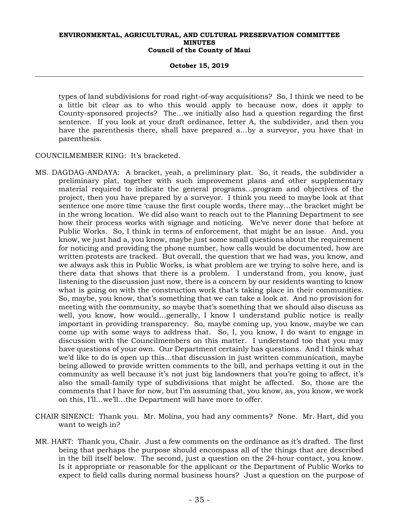#### **October 15, 2019**

types of land subdivisions for road right-of-way acquisitions? So, I think we need to be a little bit clear as to who this would apply to because now, does it apply to County-sponsored projects? The…we initially also had a question regarding the first sentence. If you look at your draft ordinance, letter A, the subdivider, and then you have the parenthesis there, shall have prepared a…by a surveyor, you have that in parenthesis.

COUNCILMEMBER KING: It's bracketed.

- MS. DAGDAG-ANDAYA: A bracket, yeah, a preliminary plat. So, it reads, the subdivider a preliminary plat, together with such improvement plans and other supplementary material required to indicate the general programs…program and objectives of the project, then you have prepared by a surveyor. I think you need to maybe look at that sentence one more time 'cause the first couple words, there may…the bracket might be in the wrong location. We did also want to reach out to the Planning Department to see how their process works with signage and noticing. We've never done that before at Public Works. So, I think in terms of enforcement, that might be an issue. And, you know, we just had a, you know, maybe just some small questions about the requirement for noticing and providing the phone number, how calls would be documented, how are written protests are tracked. But overall, the question that we had was, you know, and we always ask this in Public Works, is what problem are we trying to solve here, and is there data that shows that there is a problem. I understand from, you know, just listening to the discussion just now, there is a concern by our residents wanting to know what is going on with the construction work that's taking place in their communities. So, maybe, you know, that's something that we can take a look at. And no provision for meeting with the community, so maybe that's something that we should also discuss as well, you know, how would…generally, I know I understand public notice is really important in providing transparency. So, maybe coming up, you know, maybe we can come up with some ways to address that. So, I, you know, I do want to engage in discussion with the Councilmembers on this matter. I understand too that you may have questions of your own. Our Department certainly has questions. And I think what we'd like to do is open up this…that discussion in just written communication, maybe being allowed to provide written comments to the bill, and perhaps vetting it out in the community as well because it's not just big landowners that you're going to affect, it's also the small-family type of subdivisions that might be affected. So, those are the comments that I have for now, but I'm assuming that, you know, as, you know, we work on this, I'll…we'll…the Department will have more to offer.
- CHAIR SINENCI: Thank you. Mr. Molina, you had any comments? None. Mr. Hart, did you want to weigh in?
- MR. HART: Thank you, Chair. Just a few comments on the ordinance as it's drafted. The first being that perhaps the purpose should encompass all of the things that are described in the bill itself below. The second, just a question on the 24-hour contact, you know. Is it appropriate or reasonable for the applicant or the Department of Public Works to expect to field calls during normal business hours? Just a question on the purpose of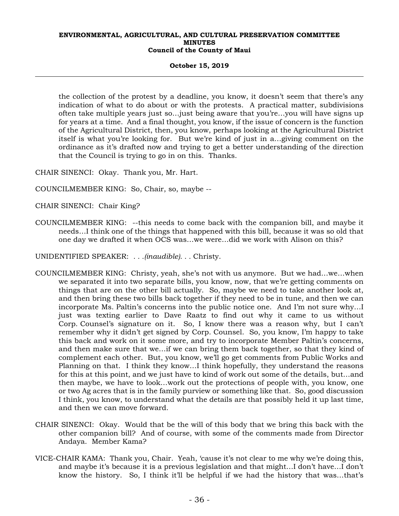#### **October 15, 2019**

the collection of the protest by a deadline, you know, it doesn't seem that there's any indication of what to do about or with the protests. A practical matter, subdivisions often take multiple years just so…just being aware that you're…you will have signs up for years at a time. And a final thought, you know, if the issue of concern is the function of the Agricultural District, then, you know, perhaps looking at the Agricultural District itself is what you're looking for. But we're kind of just in a…giving comment on the ordinance as it's drafted now and trying to get a better understanding of the direction that the Council is trying to go in on this. Thanks.

CHAIR SINENCI: Okay. Thank you, Mr. Hart.

COUNCILMEMBER KING: So, Chair, so, maybe --

CHAIR SINENCI: Chair King?

COUNCILMEMBER KING: --this needs to come back with the companion bill, and maybe it needs…I think one of the things that happened with this bill, because it was so old that one day we drafted it when OCS was…we were…did we work with Alison on this?

UNIDENTIFIED SPEAKER: *. . .(inaudible). . .* Christy.

- COUNCILMEMBER KING: Christy, yeah, she's not with us anymore. But we had…we…when we separated it into two separate bills, you know, now, that we're getting comments on things that are on the other bill actually. So, maybe we need to take another look at, and then bring these two bills back together if they need to be in tune, and then we can incorporate Ms. Paltin's concerns into the public notice one. And I'm not sure why…I just was texting earlier to Dave Raatz to find out why it came to us without Corp. Counsel's signature on it. So, I know there was a reason why, but I can't remember why it didn't get signed by Corp. Counsel. So, you know, I'm happy to take this back and work on it some more, and try to incorporate Member Paltin's concerns, and then make sure that we…if we can bring them back together, so that they kind of complement each other. But, you know, we'll go get comments from Public Works and Planning on that. I think they know…I think hopefully, they understand the reasons for this at this point, and we just have to kind of work out some of the details, but…and then maybe, we have to look…work out the protections of people with, you know, one or two Ag acres that is in the family purview or something like that. So, good discussion I think, you know, to understand what the details are that possibly held it up last time, and then we can move forward.
- CHAIR SINENCI: Okay. Would that be the will of this body that we bring this back with the other companion bill? And of course, with some of the comments made from Director Andaya. Member Kama?
- VICE-CHAIR KAMA: Thank you, Chair. Yeah, 'cause it's not clear to me why we're doing this, and maybe it's because it is a previous legislation and that might…I don't have…I don't know the history. So, I think it'll be helpful if we had the history that was…that's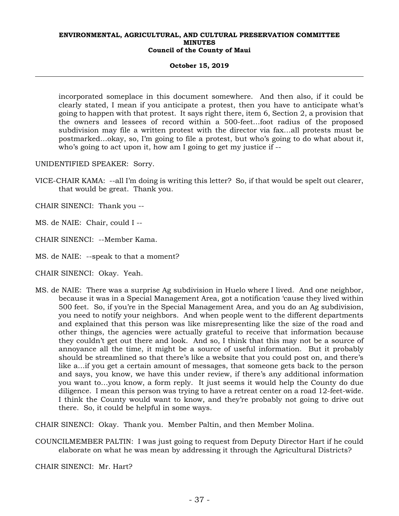#### **October 15, 2019**

incorporated someplace in this document somewhere. And then also, if it could be clearly stated, I mean if you anticipate a protest, then you have to anticipate what's going to happen with that protest. It says right there, item 6, Section 2, a provision that the owners and lessees of record within a 500-feet…foot radius of the proposed subdivision may file a written protest with the director via fax…all protests must be postmarked…okay, so, I'm going to file a protest, but who's going to do what about it, who's going to act upon it, how am I going to get my justice if --

UNIDENTIFIED SPEAKER: Sorry.

VICE-CHAIR KAMA: --all I'm doing is writing this letter? So, if that would be spelt out clearer, that would be great. Thank you.

CHAIR SINENCI: Thank you --

MS. de NAIE: Chair, could I --

CHAIR SINENCI: --Member Kama.

MS. de NAIE: --speak to that a moment?

CHAIR SINENCI: Okay. Yeah.

MS. de NAIE: There was a surprise Ag subdivision in Huelo where I lived. And one neighbor, because it was in a Special Management Area, got a notification 'cause they lived within 500 feet. So, if you're in the Special Management Area, and you do an Ag subdivision, you need to notify your neighbors. And when people went to the different departments and explained that this person was like misrepresenting like the size of the road and other things, the agencies were actually grateful to receive that information because they couldn't get out there and look. And so, I think that this may not be a source of annoyance all the time, it might be a source of useful information. But it probably should be streamlined so that there's like a website that you could post on, and there's like a…if you get a certain amount of messages, that someone gets back to the person and says, you know, we have this under review, if there's any additional information you want to…you know, a form reply. It just seems it would help the County do due diligence. I mean this person was trying to have a retreat center on a road 12-feet-wide. I think the County would want to know, and they're probably not going to drive out there. So, it could be helpful in some ways.

CHAIR SINENCI: Okay. Thank you. Member Paltin, and then Member Molina.

COUNCILMEMBER PALTIN: I was just going to request from Deputy Director Hart if he could elaborate on what he was mean by addressing it through the Agricultural Districts?

CHAIR SINENCI: Mr. Hart?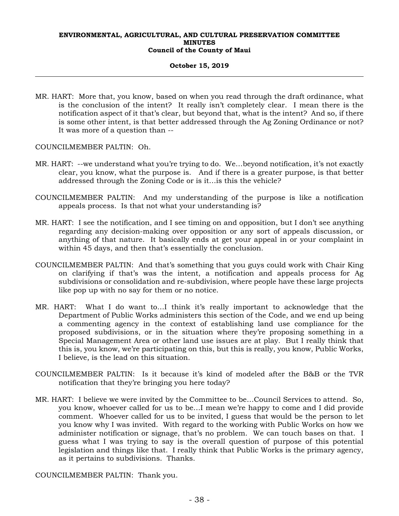## **October 15, 2019**

- MR. HART: More that, you know, based on when you read through the draft ordinance, what is the conclusion of the intent? It really isn't completely clear. I mean there is the notification aspect of it that's clear, but beyond that, what is the intent? And so, if there is some other intent, is that better addressed through the Ag Zoning Ordinance or not? It was more of a question than --
- COUNCILMEMBER PALTIN: Oh.
- MR. HART: --we understand what you're trying to do. We…beyond notification, it's not exactly clear, you know, what the purpose is. And if there is a greater purpose, is that better addressed through the Zoning Code or is it…is this the vehicle?
- COUNCILMEMBER PALTIN: And my understanding of the purpose is like a notification appeals process. Is that not what your understanding is?
- MR. HART: I see the notification, and I see timing on and opposition, but I don't see anything regarding any decision-making over opposition or any sort of appeals discussion, or anything of that nature. It basically ends at get your appeal in or your complaint in within 45 days, and then that's essentially the conclusion.
- COUNCILMEMBER PALTIN: And that's something that you guys could work with Chair King on clarifying if that's was the intent, a notification and appeals process for Ag subdivisions or consolidation and re-subdivision, where people have these large projects like pop up with no say for them or no notice.
- MR. HART: What I do want to…I think it's really important to acknowledge that the Department of Public Works administers this section of the Code, and we end up being a commenting agency in the context of establishing land use compliance for the proposed subdivisions, or in the situation where they're proposing something in a Special Management Area or other land use issues are at play. But I really think that this is, you know, we're participating on this, but this is really, you know, Public Works, I believe, is the lead on this situation.
- COUNCILMEMBER PALTIN: Is it because it's kind of modeled after the B&B or the TVR notification that they're bringing you here today?
- MR. HART: I believe we were invited by the Committee to be…Council Services to attend. So, you know, whoever called for us to be…I mean we're happy to come and I did provide comment. Whoever called for us to be invited, I guess that would be the person to let you know why I was invited. With regard to the working with Public Works on how we administer notification or signage, that's no problem. We can touch bases on that. I guess what I was trying to say is the overall question of purpose of this potential legislation and things like that. I really think that Public Works is the primary agency, as it pertains to subdivisions. Thanks.

COUNCILMEMBER PALTIN: Thank you.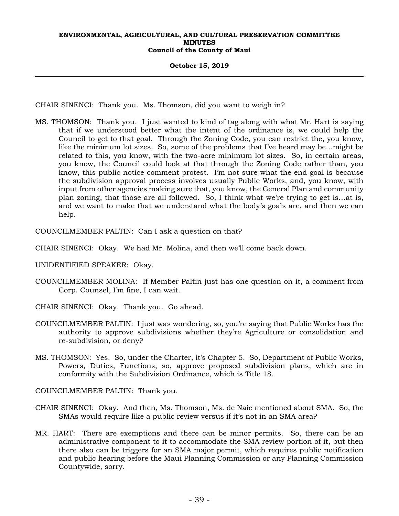#### **October 15, 2019**

CHAIR SINENCI: Thank you. Ms. Thomson, did you want to weigh in?

MS. THOMSON: Thank you. I just wanted to kind of tag along with what Mr. Hart is saying that if we understood better what the intent of the ordinance is, we could help the Council to get to that goal. Through the Zoning Code, you can restrict the, you know, like the minimum lot sizes. So, some of the problems that I've heard may be…might be related to this, you know, with the two-acre minimum lot sizes. So, in certain areas, you know, the Council could look at that through the Zoning Code rather than, you know, this public notice comment protest. I'm not sure what the end goal is because the subdivision approval process involves usually Public Works, and, you know, with input from other agencies making sure that, you know, the General Plan and community plan zoning, that those are all followed. So, I think what we're trying to get is…at is, and we want to make that we understand what the body's goals are, and then we can help.

COUNCILMEMBER PALTIN: Can I ask a question on that?

- CHAIR SINENCI: Okay. We had Mr. Molina, and then we'll come back down.
- UNIDENTIFIED SPEAKER: Okay.
- COUNCILMEMBER MOLINA: If Member Paltin just has one question on it, a comment from Corp. Counsel, I'm fine, I can wait.
- CHAIR SINENCI: Okay. Thank you. Go ahead.
- COUNCILMEMBER PALTIN: I just was wondering, so, you're saying that Public Works has the authority to approve subdivisions whether they're Agriculture or consolidation and re-subdivision, or deny?
- MS. THOMSON: Yes. So, under the Charter, it's Chapter 5. So, Department of Public Works, Powers, Duties, Functions, so, approve proposed subdivision plans, which are in conformity with the Subdivision Ordinance, which is Title 18.

COUNCILMEMBER PALTIN: Thank you.

- CHAIR SINENCI: Okay. And then, Ms. Thomson, Ms. de Naie mentioned about SMA. So, the SMAs would require like a public review versus if it's not in an SMA area?
- MR. HART: There are exemptions and there can be minor permits. So, there can be an administrative component to it to accommodate the SMA review portion of it, but then there also can be triggers for an SMA major permit, which requires public notification and public hearing before the Maui Planning Commission or any Planning Commission Countywide, sorry.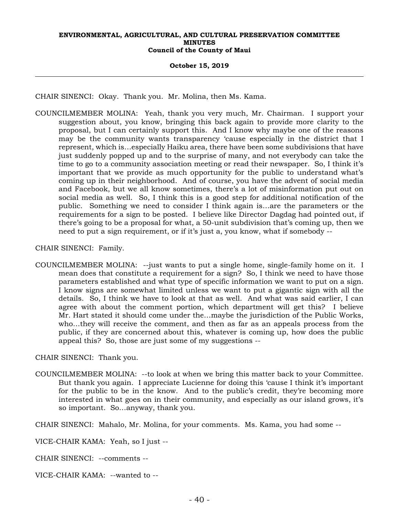#### **October 15, 2019**

CHAIR SINENCI: Okay. Thank you. Mr. Molina, then Ms. Kama.

COUNCILMEMBER MOLINA: Yeah, thank you very much, Mr. Chairman. I support your suggestion about, you know, bringing this back again to provide more clarity to the proposal, but I can certainly support this. And I know why maybe one of the reasons may be the community wants transparency 'cause especially in the district that I represent, which is…especially Haiku area, there have been some subdivisions that have just suddenly popped up and to the surprise of many, and not everybody can take the time to go to a community association meeting or read their newspaper. So, I think it's important that we provide as much opportunity for the public to understand what's coming up in their neighborhood. And of course, you have the advent of social media and Facebook, but we all know sometimes, there's a lot of misinformation put out on social media as well. So, I think this is a good step for additional notification of the public. Something we need to consider I think again is…are the parameters or the requirements for a sign to be posted. I believe like Director Dagdag had pointed out, if there's going to be a proposal for what, a 50-unit subdivision that's coming up, then we need to put a sign requirement, or if it's just a, you know, what if somebody --

CHAIR SINENCI: Family.

COUNCILMEMBER MOLINA: --just wants to put a single home, single-family home on it. I mean does that constitute a requirement for a sign? So, I think we need to have those parameters established and what type of specific information we want to put on a sign. I know signs are somewhat limited unless we want to put a gigantic sign with all the details. So, I think we have to look at that as well. And what was said earlier, I can agree with about the comment portion, which department will get this? I believe Mr. Hart stated it should come under the…maybe the jurisdiction of the Public Works, who…they will receive the comment, and then as far as an appeals process from the public, if they are concerned about this, whatever is coming up, how does the public appeal this? So, those are just some of my suggestions --

CHAIR SINENCI: Thank you.

COUNCILMEMBER MOLINA: --to look at when we bring this matter back to your Committee. But thank you again. I appreciate Lucienne for doing this 'cause I think it's important for the public to be in the know. And to the public's credit, they're becoming more interested in what goes on in their community, and especially as our island grows, it's so important. So…anyway, thank you.

CHAIR SINENCI: Mahalo, Mr. Molina, for your comments. Ms. Kama, you had some --

VICE-CHAIR KAMA: Yeah, so I just --

CHAIR SINENCI: --comments --

VICE-CHAIR KAMA: --wanted to --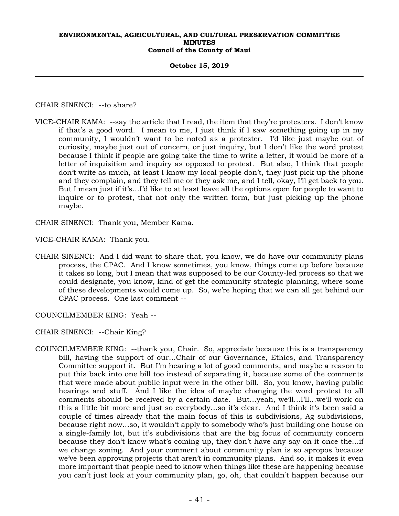#### **October 15, 2019**

CHAIR SINENCI: --to share?

VICE-CHAIR KAMA: --say the article that I read, the item that they're protesters. I don't know if that's a good word. I mean to me, I just think if I saw something going up in my community, I wouldn't want to be noted as a protester. I'd like just maybe out of curiosity, maybe just out of concern, or just inquiry, but I don't like the word protest because I think if people are going take the time to write a letter, it would be more of a letter of inquisition and inquiry as opposed to protest. But also, I think that people don't write as much, at least I know my local people don't, they just pick up the phone and they complain, and they tell me or they ask me, and I tell, okay, I'll get back to you. But I mean just if it's…I'd like to at least leave all the options open for people to want to inquire or to protest, that not only the written form, but just picking up the phone maybe.

CHAIR SINENCI: Thank you, Member Kama.

VICE-CHAIR KAMA: Thank you.

CHAIR SINENCI: And I did want to share that, you know, we do have our community plans process, the CPAC. And I know sometimes, you know, things come up before because it takes so long, but I mean that was supposed to be our County-led process so that we could designate, you know, kind of get the community strategic planning, where some of these developments would come up. So, we're hoping that we can all get behind our CPAC process. One last comment --

COUNCILMEMBER KING: Yeah --

CHAIR SINENCI: --Chair King?

COUNCILMEMBER KING: --thank you, Chair. So, appreciate because this is a transparency bill, having the support of our…Chair of our Governance, Ethics, and Transparency Committee support it. But I'm hearing a lot of good comments, and maybe a reason to put this back into one bill too instead of separating it, because some of the comments that were made about public input were in the other bill. So, you know, having public hearings and stuff. And I like the idea of maybe changing the word protest to all comments should be received by a certain date. But…yeah, we'll…I'll…we'll work on this a little bit more and just so everybody…so it's clear. And I think it's been said a couple of times already that the main focus of this is subdivisions, Ag subdivisions, because right now…so, it wouldn't apply to somebody who's just building one house on a single-family lot, but it's subdivisions that are the big focus of community concern because they don't know what's coming up, they don't have any say on it once the…if we change zoning. And your comment about community plan is so apropos because we've been approving projects that aren't in community plans. And so, it makes it even more important that people need to know when things like these are happening because you can't just look at your community plan, go, oh, that couldn't happen because our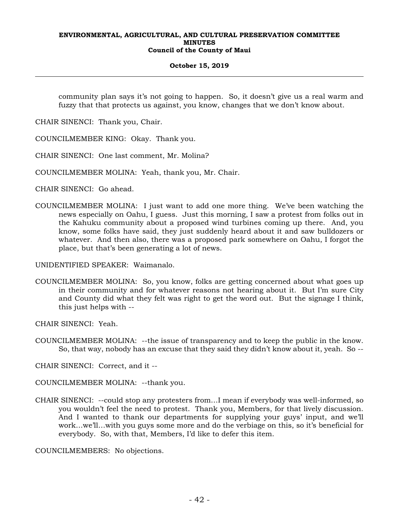## **October 15, 2019**

community plan says it's not going to happen. So, it doesn't give us a real warm and fuzzy that that protects us against, you know, changes that we don't know about.

CHAIR SINENCI: Thank you, Chair.

COUNCILMEMBER KING: Okay. Thank you.

CHAIR SINENCI: One last comment, Mr. Molina?

COUNCILMEMBER MOLINA: Yeah, thank you, Mr. Chair.

CHAIR SINENCI: Go ahead.

COUNCILMEMBER MOLINA: I just want to add one more thing. We've been watching the news especially on Oahu, I guess. Just this morning, I saw a protest from folks out in the Kahuku community about a proposed wind turbines coming up there. And, you know, some folks have said, they just suddenly heard about it and saw bulldozers or whatever. And then also, there was a proposed park somewhere on Oahu, I forgot the place, but that's been generating a lot of news.

UNIDENTIFIED SPEAKER: Waimanalo.

COUNCILMEMBER MOLINA: So, you know, folks are getting concerned about what goes up in their community and for whatever reasons not hearing about it. But I'm sure City and County did what they felt was right to get the word out. But the signage I think, this just helps with --

CHAIR SINENCI: Yeah.

COUNCILMEMBER MOLINA: --the issue of transparency and to keep the public in the know. So, that way, nobody has an excuse that they said they didn't know about it, yeah. So --

CHAIR SINENCI: Correct, and it --

COUNCILMEMBER MOLINA: --thank you.

CHAIR SINENCI: --could stop any protesters from…I mean if everybody was well-informed, so you wouldn't feel the need to protest. Thank you, Members, for that lively discussion. And I wanted to thank our departments for supplying your guys' input, and we'll work…we'll…with you guys some more and do the verbiage on this, so it's beneficial for everybody. So, with that, Members, I'd like to defer this item.

COUNCILMEMBERS: No objections.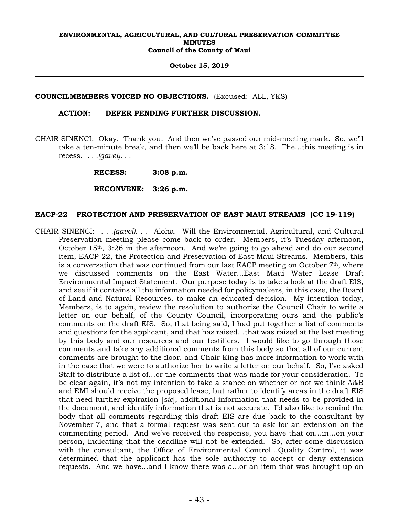**October 15, 2019** 

## **COUNCILMEMBERS VOICED NO OBJECTIONS.** (Excused: ALL, YKS)

## **ACTION: DEFER PENDING FURTHER DISCUSSION.**

CHAIR SINENCI: Okay. Thank you. And then we've passed our mid-meeting mark. So, we'll take a ten-minute break, and then we'll be back here at 3:18. The…this meeting is in recess. *. . .(gavel). . .*

 **RECESS: 3:08 p.m.** 

 **RECONVENE: 3:26 p.m.** 

## **EACP-22 PROTECTION AND PRESERVATION OF EAST MAUI STREAMS (CC 19-119)**

CHAIR SINENCI: *. . .(gavel). . .* Aloha. Will the Environmental, Agricultural, and Cultural Preservation meeting please come back to order. Members, it's Tuesday afternoon, October  $15<sup>th</sup>$ , 3:26 in the afternoon. And we're going to go ahead and do our second item, EACP-22, the Protection and Preservation of East Maui Streams. Members, this is a conversation that was continued from our last EACP meeting on October  $7<sup>th</sup>$ , where we discussed comments on the East Water…East Maui Water Lease Draft Environmental Impact Statement. Our purpose today is to take a look at the draft EIS, and see if it contains all the information needed for policymakers, in this case, the Board of Land and Natural Resources, to make an educated decision. My intention today, Members, is to again, review the resolution to authorize the Council Chair to write a letter on our behalf, of the County Council, incorporating ours and the public's comments on the draft EIS. So, that being said, I had put together a list of comments and questions for the applicant, and that has raised…that was raised at the last meeting by this body and our resources and our testifiers. I would like to go through those comments and take any additional comments from this body so that all of our current comments are brought to the floor, and Chair King has more information to work with in the case that we were to authorize her to write a letter on our behalf. So, I've asked Staff to distribute a list of…or the comments that was made for your consideration. To be clear again, it's not my intention to take a stance on whether or not we think A&B and EMI should receive the proposed lease, but rather to identify areas in the draft EIS that need further expiration [*sic*], additional information that needs to be provided in the document, and identify information that is not accurate. I'd also like to remind the body that all comments regarding this draft EIS are due back to the consultant by November 7, and that a formal request was sent out to ask for an extension on the commenting period. And we've received the response, you have that on…in…on your person, indicating that the deadline will not be extended. So, after some discussion with the consultant, the Office of Environmental Control…Quality Control, it was determined that the applicant has the sole authority to accept or deny extension requests. And we have…and I know there was a…or an item that was brought up on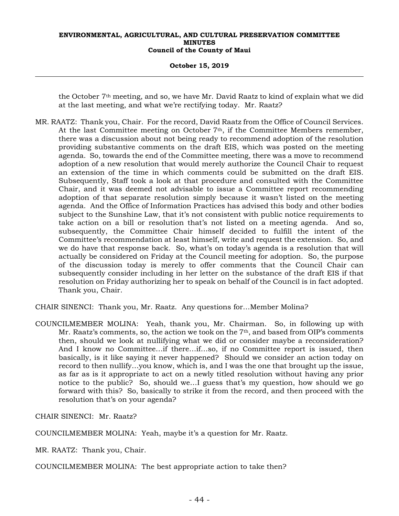#### **October 15, 2019**

the October 7th meeting, and so, we have Mr. David Raatz to kind of explain what we did at the last meeting, and what we're rectifying today. Mr. Raatz?

MR. RAATZ: Thank you, Chair. For the record, David Raatz from the Office of Council Services. At the last Committee meeting on October 7th, if the Committee Members remember, there was a discussion about not being ready to recommend adoption of the resolution providing substantive comments on the draft EIS, which was posted on the meeting agenda. So, towards the end of the Committee meeting, there was a move to recommend adoption of a new resolution that would merely authorize the Council Chair to request an extension of the time in which comments could be submitted on the draft EIS. Subsequently, Staff took a look at that procedure and consulted with the Committee Chair, and it was deemed not advisable to issue a Committee report recommending adoption of that separate resolution simply because it wasn't listed on the meeting agenda. And the Office of Information Practices has advised this body and other bodies subject to the Sunshine Law, that it's not consistent with public notice requirements to take action on a bill or resolution that's not listed on a meeting agenda. And so, subsequently, the Committee Chair himself decided to fulfill the intent of the Committee's recommendation at least himself, write and request the extension. So, and we do have that response back. So, what's on today's agenda is a resolution that will actually be considered on Friday at the Council meeting for adoption. So, the purpose of the discussion today is merely to offer comments that the Council Chair can subsequently consider including in her letter on the substance of the draft EIS if that resolution on Friday authorizing her to speak on behalf of the Council is in fact adopted. Thank you, Chair.

CHAIR SINENCI: Thank you, Mr. Raatz. Any questions for…Member Molina?

COUNCILMEMBER MOLINA: Yeah, thank you, Mr. Chairman. So, in following up with Mr. Raatz's comments, so, the action we took on the 7<sup>th</sup>, and based from OIP's comments then, should we look at nullifying what we did or consider maybe a reconsideration? And I know no Committee…if there…if…so, if no Committee report is issued, then basically, is it like saying it never happened? Should we consider an action today on record to then nullify…you know, which is, and I was the one that brought up the issue, as far as is it appropriate to act on a newly titled resolution without having any prior notice to the public? So, should we…I guess that's my question, how should we go forward with this? So, basically to strike it from the record, and then proceed with the resolution that's on your agenda?

CHAIR SINENCI: Mr. Raatz?

COUNCILMEMBER MOLINA: Yeah, maybe it's a question for Mr. Raatz.

MR. RAATZ: Thank you, Chair.

COUNCILMEMBER MOLINA: The best appropriate action to take then?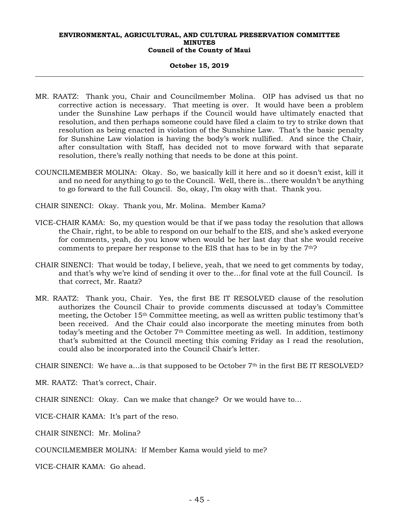#### **October 15, 2019**

- MR. RAATZ: Thank you, Chair and Councilmember Molina. OIP has advised us that no corrective action is necessary. That meeting is over. It would have been a problem under the Sunshine Law perhaps if the Council would have ultimately enacted that resolution, and then perhaps someone could have filed a claim to try to strike down that resolution as being enacted in violation of the Sunshine Law. That's the basic penalty for Sunshine Law violation is having the body's work nullified. And since the Chair, after consultation with Staff, has decided not to move forward with that separate resolution, there's really nothing that needs to be done at this point.
- COUNCILMEMBER MOLINA: Okay. So, we basically kill it here and so it doesn't exist, kill it and no need for anything to go to the Council. Well, there is…there wouldn't be anything to go forward to the full Council. So, okay, I'm okay with that. Thank you.
- CHAIR SINENCI: Okay. Thank you, Mr. Molina. Member Kama?
- VICE-CHAIR KAMA: So, my question would be that if we pass today the resolution that allows the Chair, right, to be able to respond on our behalf to the EIS, and she's asked everyone for comments, yeah, do you know when would be her last day that she would receive comments to prepare her response to the EIS that has to be in by the  $7<sup>th</sup>$ ?
- CHAIR SINENCI: That would be today, I believe, yeah, that we need to get comments by today, and that's why we're kind of sending it over to the…for final vote at the full Council. Is that correct, Mr. Raatz?
- MR. RAATZ: Thank you, Chair. Yes, the first BE IT RESOLVED clause of the resolution authorizes the Council Chair to provide comments discussed at today's Committee meeting, the October 15th Committee meeting, as well as written public testimony that's been received. And the Chair could also incorporate the meeting minutes from both today's meeting and the October 7<sup>th</sup> Committee meeting as well. In addition, testimony that's submitted at the Council meeting this coming Friday as I read the resolution, could also be incorporated into the Council Chair's letter.

CHAIR SINENCI: We have a... is that supposed to be October  $7<sup>th</sup>$  in the first BE IT RESOLVED?

MR. RAATZ: That's correct, Chair.

CHAIR SINENCI: Okay. Can we make that change? Or we would have to…

VICE-CHAIR KAMA: It's part of the reso.

CHAIR SINENCI: Mr. Molina?

COUNCILMEMBER MOLINA: If Member Kama would yield to me?

VICE-CHAIR KAMA: Go ahead.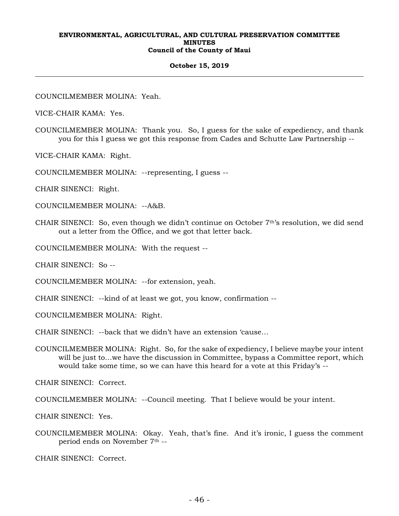#### **October 15, 2019**

COUNCILMEMBER MOLINA: Yeah.

VICE-CHAIR KAMA: Yes.

COUNCILMEMBER MOLINA: Thank you. So, I guess for the sake of expediency, and thank you for this I guess we got this response from Cades and Schutte Law Partnership --

VICE-CHAIR KAMA: Right.

COUNCILMEMBER MOLINA: --representing, I guess --

CHAIR SINENCI: Right.

COUNCILMEMBER MOLINA: --A&B.

CHAIR SINENCI: So, even though we didn't continue on October 7th's resolution, we did send out a letter from the Office, and we got that letter back.

COUNCILMEMBER MOLINA: With the request --

CHAIR SINENCI: So --

COUNCILMEMBER MOLINA: --for extension, yeah.

CHAIR SINENCI: --kind of at least we got, you know, confirmation --

COUNCILMEMBER MOLINA: Right.

CHAIR SINENCI: --back that we didn't have an extension 'cause…

COUNCILMEMBER MOLINA: Right. So, for the sake of expediency, I believe maybe your intent will be just to...we have the discussion in Committee, bypass a Committee report, which would take some time, so we can have this heard for a vote at this Friday's --

CHAIR SINENCI: Correct.

COUNCILMEMBER MOLINA: --Council meeting. That I believe would be your intent.

CHAIR SINENCI: Yes.

COUNCILMEMBER MOLINA: Okay. Yeah, that's fine. And it's ironic, I guess the comment period ends on November 7th --

CHAIR SINENCI: Correct.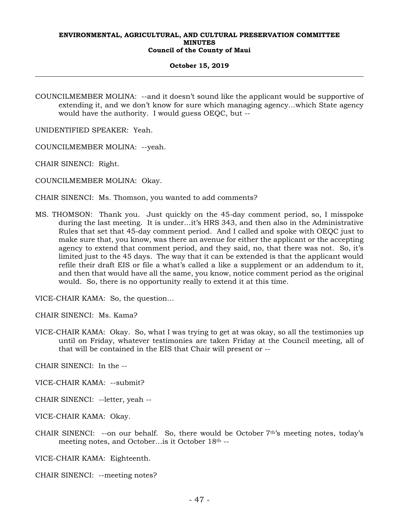#### **October 15, 2019**

COUNCILMEMBER MOLINA: --and it doesn't sound like the applicant would be supportive of extending it, and we don't know for sure which managing agency…which State agency would have the authority. I would guess OEQC, but --

UNIDENTIFIED SPEAKER: Yeah.

COUNCILMEMBER MOLINA: --yeah.

CHAIR SINENCI: Right.

COUNCILMEMBER MOLINA: Okay.

CHAIR SINENCI: Ms. Thomson, you wanted to add comments?

MS. THOMSON: Thank you. Just quickly on the 45-day comment period, so, I misspoke during the last meeting. It is under…it's HRS 343, and then also in the Administrative Rules that set that 45-day comment period. And I called and spoke with OEQC just to make sure that, you know, was there an avenue for either the applicant or the accepting agency to extend that comment period, and they said, no, that there was not. So, it's limited just to the 45 days. The way that it can be extended is that the applicant would refile their draft EIS or file a what's called a like a supplement or an addendum to it, and then that would have all the same, you know, notice comment period as the original would. So, there is no opportunity really to extend it at this time.

VICE-CHAIR KAMA: So, the question…

CHAIR SINENCI: Ms. Kama?

VICE-CHAIR KAMA: Okay. So, what I was trying to get at was okay, so all the testimonies up until on Friday, whatever testimonies are taken Friday at the Council meeting, all of that will be contained in the EIS that Chair will present or --

CHAIR SINENCI: In the --

VICE-CHAIR KAMA: --submit?

CHAIR SINENCI: --letter, yeah --

VICE-CHAIR KAMA: Okay.

CHAIR SINENCI: --on our behalf. So, there would be October 7th's meeting notes, today's meeting notes, and October…is it October 18th --

VICE-CHAIR KAMA: Eighteenth.

CHAIR SINENCI: --meeting notes?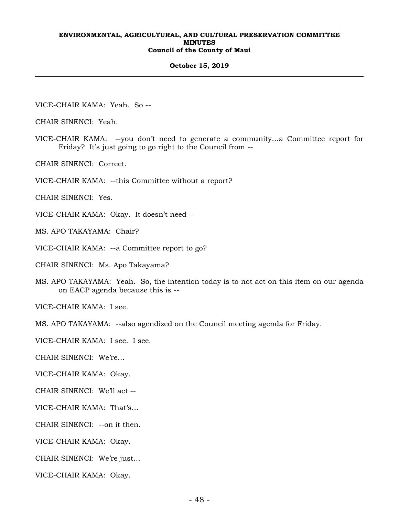#### **October 15, 2019**

VICE-CHAIR KAMA: Yeah. So --

CHAIR SINENCI: Yeah.

VICE-CHAIR KAMA: --you don't need to generate a community…a Committee report for Friday? It's just going to go right to the Council from --

CHAIR SINENCI: Correct.

VICE-CHAIR KAMA: --this Committee without a report?

CHAIR SINENCI: Yes.

VICE-CHAIR KAMA: Okay. It doesn't need --

MS. APO TAKAYAMA: Chair?

VICE-CHAIR KAMA: --a Committee report to go?

CHAIR SINENCI: Ms. Apo Takayama?

MS. APO TAKAYAMA: Yeah. So, the intention today is to not act on this item on our agenda on EACP agenda because this is --

VICE-CHAIR KAMA: I see.

MS. APO TAKAYAMA: --also agendized on the Council meeting agenda for Friday.

VICE-CHAIR KAMA: I see. I see.

CHAIR SINENCI: We're…

VICE-CHAIR KAMA: Okay.

CHAIR SINENCI: We'll act --

VICE-CHAIR KAMA: That's…

CHAIR SINENCI: --on it then.

VICE-CHAIR KAMA: Okay.

CHAIR SINENCI: We're just…

VICE-CHAIR KAMA: Okay.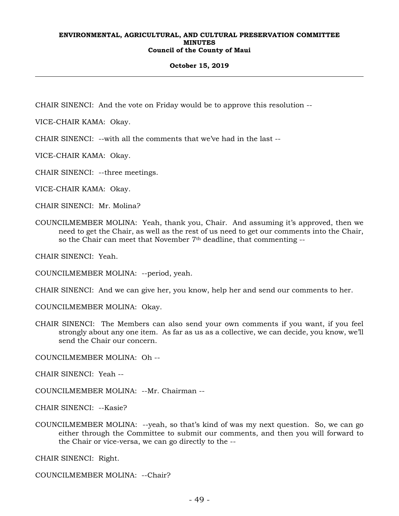## **October 15, 2019**

CHAIR SINENCI: And the vote on Friday would be to approve this resolution --

VICE-CHAIR KAMA: Okay.

CHAIR SINENCI: --with all the comments that we've had in the last --

VICE-CHAIR KAMA: Okay.

CHAIR SINENCI: --three meetings.

VICE-CHAIR KAMA: Okay.

CHAIR SINENCI: Mr. Molina?

COUNCILMEMBER MOLINA: Yeah, thank you, Chair. And assuming it's approved, then we need to get the Chair, as well as the rest of us need to get our comments into the Chair, so the Chair can meet that November  $7<sup>th</sup>$  deadline, that commenting  $-$ 

CHAIR SINENCI: Yeah.

COUNCILMEMBER MOLINA: --period, yeah.

CHAIR SINENCI: And we can give her, you know, help her and send our comments to her.

COUNCILMEMBER MOLINA: Okay.

CHAIR SINENCI: The Members can also send your own comments if you want, if you feel strongly about any one item. As far as us as a collective, we can decide, you know, we'll send the Chair our concern.

COUNCILMEMBER MOLINA: Oh --

CHAIR SINENCI: Yeah --

COUNCILMEMBER MOLINA: --Mr. Chairman --

CHAIR SINENCI: --Kasie?

COUNCILMEMBER MOLINA: --yeah, so that's kind of was my next question. So, we can go either through the Committee to submit our comments, and then you will forward to the Chair or vice-versa, we can go directly to the --

CHAIR SINENCI: Right.

COUNCILMEMBER MOLINA: --Chair?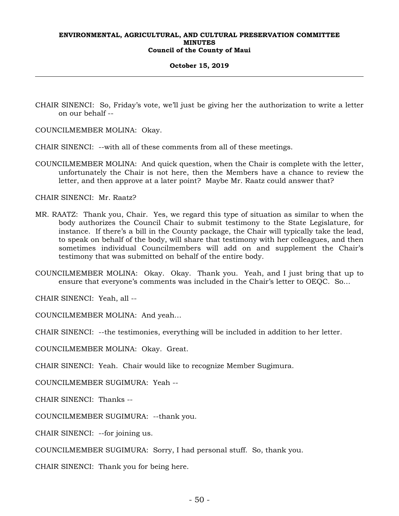#### **October 15, 2019**

- CHAIR SINENCI: So, Friday's vote, we'll just be giving her the authorization to write a letter on our behalf --
- COUNCILMEMBER MOLINA: Okay.
- CHAIR SINENCI: --with all of these comments from all of these meetings.
- COUNCILMEMBER MOLINA: And quick question, when the Chair is complete with the letter, unfortunately the Chair is not here, then the Members have a chance to review the letter, and then approve at a later point? Maybe Mr. Raatz could answer that?

CHAIR SINENCI: Mr. Raatz?

- MR. RAATZ: Thank you, Chair. Yes, we regard this type of situation as similar to when the body authorizes the Council Chair to submit testimony to the State Legislature, for instance. If there's a bill in the County package, the Chair will typically take the lead, to speak on behalf of the body, will share that testimony with her colleagues, and then sometimes individual Councilmembers will add on and supplement the Chair's testimony that was submitted on behalf of the entire body.
- COUNCILMEMBER MOLINA: Okay. Okay. Thank you. Yeah, and I just bring that up to ensure that everyone's comments was included in the Chair's letter to OEQC. So…

CHAIR SINENCI: Yeah, all --

COUNCILMEMBER MOLINA: And yeah…

CHAIR SINENCI: --the testimonies, everything will be included in addition to her letter.

COUNCILMEMBER MOLINA: Okay. Great.

CHAIR SINENCI: Yeah. Chair would like to recognize Member Sugimura.

COUNCILMEMBER SUGIMURA: Yeah --

CHAIR SINENCI: Thanks --

COUNCILMEMBER SUGIMURA: --thank you.

CHAIR SINENCI: --for joining us.

COUNCILMEMBER SUGIMURA: Sorry, I had personal stuff. So, thank you.

CHAIR SINENCI: Thank you for being here.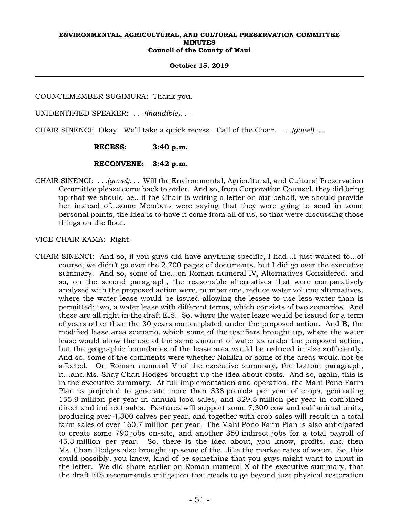## **October 15, 2019**

COUNCILMEMBER SUGIMURA: Thank you.

UNIDENTIFIED SPEAKER: *. . .(inaudible). . .*

CHAIR SINENCI: Okay. We'll take a quick recess. Call of the Chair. *. . .(gavel). . .*

## **RECESS: 3:40 p.m.**

## **RECONVENE: 3:42 p.m.**

CHAIR SINENCI: *. . .(gavel). . .* Will the Environmental, Agricultural, and Cultural Preservation Committee please come back to order. And so, from Corporation Counsel, they did bring up that we should be…if the Chair is writing a letter on our behalf, we should provide her instead of…some Members were saying that they were going to send in some personal points, the idea is to have it come from all of us, so that we're discussing those things on the floor.

VICE-CHAIR KAMA: Right.

CHAIR SINENCI: And so, if you guys did have anything specific, I had…I just wanted to…of course, we didn't go over the 2,700 pages of documents, but I did go over the executive summary. And so, some of the…on Roman numeral IV, Alternatives Considered, and so, on the second paragraph, the reasonable alternatives that were comparatively analyzed with the proposed action were, number one, reduce water volume alternatives, where the water lease would be issued allowing the lessee to use less water than is permitted; two, a water lease with different terms, which consists of two scenarios. And these are all right in the draft EIS. So, where the water lease would be issued for a term of years other than the 30 years contemplated under the proposed action. And B, the modified lease area scenario, which some of the testifiers brought up, where the water lease would allow the use of the same amount of water as under the proposed action, but the geographic boundaries of the lease area would be reduced in size sufficiently. And so, some of the comments were whether Nahiku or some of the areas would not be affected. On Roman numeral V of the executive summary, the bottom paragraph, it…and Ms. Shay Chan Hodges brought up the idea about costs. And so, again, this is in the executive summary. At full implementation and operation, the Mahi Pono Farm Plan is projected to generate more than 338 pounds per year of crops, generating 155.9 million per year in annual food sales, and 329.5 million per year in combined direct and indirect sales. Pastures will support some 7,300 cow and calf animal units, producing over 4,300 calves per year, and together with crop sales will result in a total farm sales of over 160.7 million per year. The Mahi Pono Farm Plan is also anticipated to create some 790 jobs on-site, and another 350 indirect jobs for a total payroll of 45.3 million per year. So, there is the idea about, you know, profits, and then Ms. Chan Hodges also brought up some of the…like the market rates of water. So, this could possibly, you know, kind of be something that you guys might want to input in the letter. We did share earlier on Roman numeral X of the executive summary, that the draft EIS recommends mitigation that needs to go beyond just physical restoration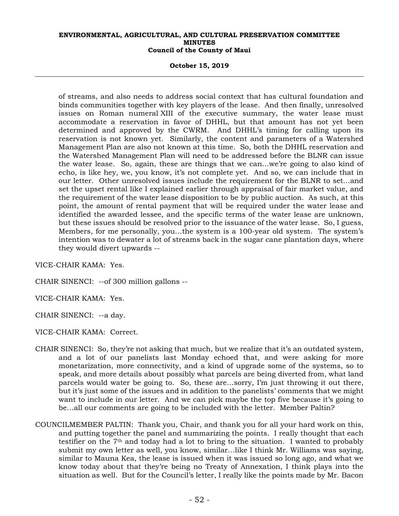#### **October 15, 2019**

of streams, and also needs to address social context that has cultural foundation and binds communities together with key players of the lease. And then finally, unresolved issues on Roman numeral XIII of the executive summary, the water lease must accommodate a reservation in favor of DHHL, but that amount has not yet been determined and approved by the CWRM. And DHHL's timing for calling upon its reservation is not known yet. Similarly, the content and parameters of a Watershed Management Plan are also not known at this time. So, both the DHHL reservation and the Watershed Management Plan will need to be addressed before the BLNR can issue the water lease. So, again, these are things that we can…we're going to also kind of echo, is like hey, we, you know, it's not complete yet. And so, we can include that in our letter. Other unresolved issues include the requirement for the BLNR to set…and set the upset rental like I explained earlier through appraisal of fair market value, and the requirement of the water lease disposition to be by public auction. As such, at this point, the amount of rental payment that will be required under the water lease and identified the awarded lessee, and the specific terms of the water lease are unknown, but these issues should be resolved prior to the issuance of the water lease. So, I guess, Members, for me personally, you…the system is a 100-year old system. The system's intention was to dewater a lot of streams back in the sugar cane plantation days, where they would divert upwards --

VICE-CHAIR KAMA: Yes.

CHAIR SINENCI: --of 300 million gallons --

VICE-CHAIR KAMA: Yes.

CHAIR SINENCI: --a day.

VICE-CHAIR KAMA: Correct.

- CHAIR SINENCI: So, they're not asking that much, but we realize that it's an outdated system, and a lot of our panelists last Monday echoed that, and were asking for more monetarization, more connectivity, and a kind of upgrade some of the systems, so to speak, and more details about possibly what parcels are being diverted from, what land parcels would water be going to. So, these are…sorry, I'm just throwing it out there, but it's just some of the issues and in addition to the panelists' comments that we might want to include in our letter. And we can pick maybe the top five because it's going to be…all our comments are going to be included with the letter. Member Paltin?
- COUNCILMEMBER PALTIN: Thank you, Chair, and thank you for all your hard work on this, and putting together the panel and summarizing the points. I really thought that each testifier on the 7th and today had a lot to bring to the situation. I wanted to probably submit my own letter as well, you know, similar…like I think Mr. Williams was saying, similar to Mauna Kea, the lease is issued when it was issued so long ago, and what we know today about that they're being no Treaty of Annexation, I think plays into the situation as well. But for the Council's letter, I really like the points made by Mr. Bacon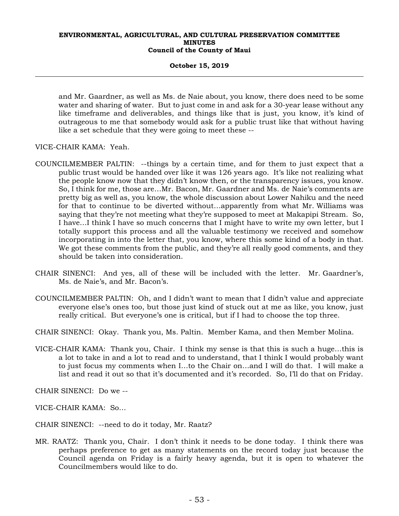#### **October 15, 2019**

and Mr. Gaardner, as well as Ms. de Naie about, you know, there does need to be some water and sharing of water. But to just come in and ask for a 30-year lease without any like timeframe and deliverables, and things like that is just, you know, it's kind of outrageous to me that somebody would ask for a public trust like that without having like a set schedule that they were going to meet these --

VICE-CHAIR KAMA: Yeah.

- COUNCILMEMBER PALTIN: --things by a certain time, and for them to just expect that a public trust would be handed over like it was 126 years ago. It's like not realizing what the people know now that they didn't know then, or the transparency issues, you know. So, I think for me, those are…Mr. Bacon, Mr. Gaardner and Ms. de Naie's comments are pretty big as well as, you know, the whole discussion about Lower Nahiku and the need for that to continue to be diverted without…apparently from what Mr. Williams was saying that they're not meeting what they're supposed to meet at Makapipi Stream. So, I have…I think I have so much concerns that I might have to write my own letter, but I totally support this process and all the valuable testimony we received and somehow incorporating in into the letter that, you know, where this some kind of a body in that. We got these comments from the public, and they're all really good comments, and they should be taken into consideration.
- CHAIR SINENCI: And yes, all of these will be included with the letter. Mr. Gaardner's, Ms. de Naie's, and Mr. Bacon's.
- COUNCILMEMBER PALTIN: Oh, and I didn't want to mean that I didn't value and appreciate everyone else's ones too, but those just kind of stuck out at me as like, you know, just really critical. But everyone's one is critical, but if I had to choose the top three.
- CHAIR SINENCI: Okay. Thank you, Ms. Paltin. Member Kama, and then Member Molina.
- VICE-CHAIR KAMA: Thank you, Chair. I think my sense is that this is such a huge…this is a lot to take in and a lot to read and to understand, that I think I would probably want to just focus my comments when I…to the Chair on…and I will do that. I will make a list and read it out so that it's documented and it's recorded. So, I'll do that on Friday.

CHAIR SINENCI: Do we --

VICE-CHAIR KAMA: So…

CHAIR SINENCI: --need to do it today, Mr. Raatz?

MR. RAATZ: Thank you, Chair. I don't think it needs to be done today. I think there was perhaps preference to get as many statements on the record today just because the Council agenda on Friday is a fairly heavy agenda, but it is open to whatever the Councilmembers would like to do.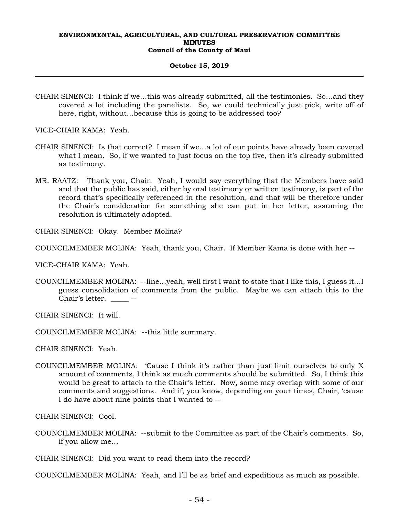#### **October 15, 2019**

CHAIR SINENCI: I think if we…this was already submitted, all the testimonies. So…and they covered a lot including the panelists. So, we could technically just pick, write off of here, right, without...because this is going to be addressed too?

VICE-CHAIR KAMA: Yeah.

- CHAIR SINENCI: Is that correct? I mean if we…a lot of our points have already been covered what I mean. So, if we wanted to just focus on the top five, then it's already submitted as testimony.
- MR. RAATZ: Thank you, Chair. Yeah, I would say everything that the Members have said and that the public has said, either by oral testimony or written testimony, is part of the record that's specifically referenced in the resolution, and that will be therefore under the Chair's consideration for something she can put in her letter, assuming the resolution is ultimately adopted.

CHAIR SINENCI: Okay. Member Molina?

COUNCILMEMBER MOLINA: Yeah, thank you, Chair. If Member Kama is done with her --

VICE-CHAIR KAMA: Yeah.

COUNCILMEMBER MOLINA: --line…yeah, well first I want to state that I like this, I guess it…I guess consolidation of comments from the public. Maybe we can attach this to the Chair's letter. \_\_\_\_\_ --

CHAIR SINENCI: It will.

COUNCILMEMBER MOLINA: --this little summary.

CHAIR SINENCI: Yeah.

COUNCILMEMBER MOLINA: 'Cause I think it's rather than just limit ourselves to only X amount of comments, I think as much comments should be submitted. So, I think this would be great to attach to the Chair's letter. Now, some may overlap with some of our comments and suggestions. And if, you know, depending on your times, Chair, 'cause I do have about nine points that I wanted to --

CHAIR SINENCI: Cool.

COUNCILMEMBER MOLINA: --submit to the Committee as part of the Chair's comments. So, if you allow me…

CHAIR SINENCI: Did you want to read them into the record?

COUNCILMEMBER MOLINA: Yeah, and I'll be as brief and expeditious as much as possible.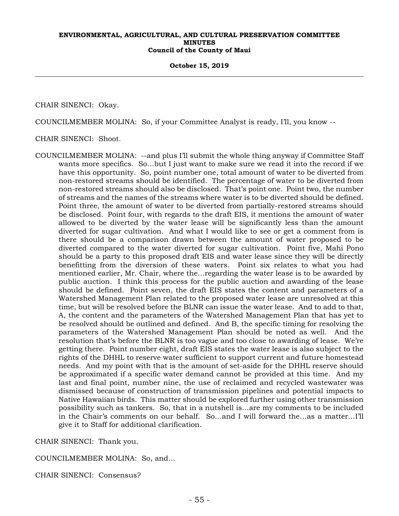#### **October 15, 2019**

CHAIR SINENCI: Okay.

COUNCILMEMBER MOLINA: So, if your Committee Analyst is ready, I'll, you know --

CHAIR SINENCI: Shoot.

COUNCILMEMBER MOLINA: --and plus I'll submit the whole thing anyway if Committee Staff wants more specifics. So…but I just want to make sure we read it into the record if we have this opportunity. So, point number one, total amount of water to be diverted from non-restored streams should be identified. The percentage of water to be diverted from non-restored streams should also be disclosed. That's point one. Point two, the number of streams and the names of the streams where water is to be diverted should be defined. Point three, the amount of water to be diverted from partially-restored streams should be disclosed. Point four, with regards to the draft EIS, it mentions the amount of water allowed to be diverted by the water lease will be significantly less than the amount diverted for sugar cultivation. And what I would like to see or get a comment from is there should be a comparison drawn between the amount of water proposed to be diverted compared to the water diverted for sugar cultivation. Point five, Mahi Pono should be a party to this proposed draft EIS and water lease since they will be directly benefitting from the diversion of these waters. Point six relates to what you had mentioned earlier, Mr. Chair, where the…regarding the water lease is to be awarded by public auction. I think this process for the public auction and awarding of the lease should be defined. Point seven, the draft EIS states the content and parameters of a Watershed Management Plan related to the proposed water lease are unresolved at this time, but will be resolved before the BLNR can issue the water lease. And to add to that, A, the content and the parameters of the Watershed Management Plan that has yet to be resolved should be outlined and defined. And B, the specific timing for resolving the parameters of the Watershed Management Plan should be noted as well. And the resolution that's before the BLNR is too vague and too close to awarding of lease. We're getting there. Point number eight, draft EIS states the water lease is also subject to the rights of the DHHL to reserve water sufficient to support current and future homestead needs. And my point with that is the amount of set-aside for the DHHL reserve should be approximated if a specific water demand cannot be provided at this time. And my last and final point, number nine, the use of reclaimed and recycled wastewater was dismissed because of construction of transmission pipelines and potential impacts to Native Hawaiian birds. This matter should be explored further using other transmission possibility such as tankers. So, that in a nutshell is…are my comments to be included in the Chair's comments on our behalf. So…and I will forward the…as a matter…I'll give it to Staff for additional clarification.

CHAIR SINENCI: Thank you.

COUNCILMEMBER MOLINA: So, and…

CHAIR SINENCI: Consensus?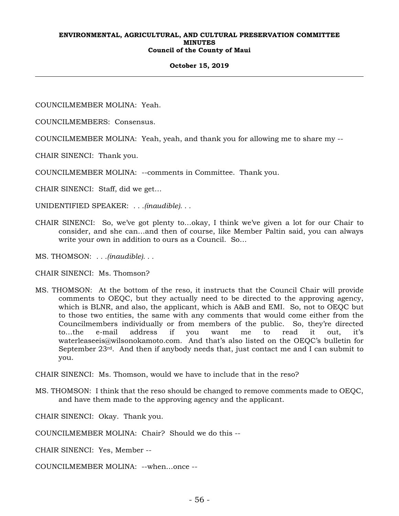#### **October 15, 2019**

COUNCILMEMBER MOLINA: Yeah.

COUNCILMEMBERS: Consensus.

COUNCILMEMBER MOLINA: Yeah, yeah, and thank you for allowing me to share my --

CHAIR SINENCI: Thank you.

COUNCILMEMBER MOLINA: --comments in Committee. Thank you.

CHAIR SINENCI: Staff, did we get…

UNIDENTIFIED SPEAKER: *. . .(inaudible). . .*

- CHAIR SINENCI: So, we've got plenty to…okay, I think we've given a lot for our Chair to consider, and she can…and then of course, like Member Paltin said, you can always write your own in addition to ours as a Council. So…
- MS. THOMSON: *. . .(inaudible). . .*
- CHAIR SINENCI: Ms. Thomson?
- MS. THOMSON: At the bottom of the reso, it instructs that the Council Chair will provide comments to OEQC, but they actually need to be directed to the approving agency, which is BLNR, and also, the applicant, which is A&B and EMI. So, not to OEQC but to those two entities, the same with any comments that would come either from the Councilmembers individually or from members of the public. So, they're directed to…the e-mail address if you want me to read it out, it's waterleaseeis@wilsonokamoto.com. And that's also listed on the OEQC's bulletin for September  $23<sup>rd</sup>$ . And then if anybody needs that, just contact me and I can submit to you.

CHAIR SINENCI: Ms. Thomson, would we have to include that in the reso?

MS. THOMSON: I think that the reso should be changed to remove comments made to OEQC, and have them made to the approving agency and the applicant.

CHAIR SINENCI: Okay. Thank you.

COUNCILMEMBER MOLINA: Chair? Should we do this --

- CHAIR SINENCI: Yes, Member --
- COUNCILMEMBER MOLINA: --when…once --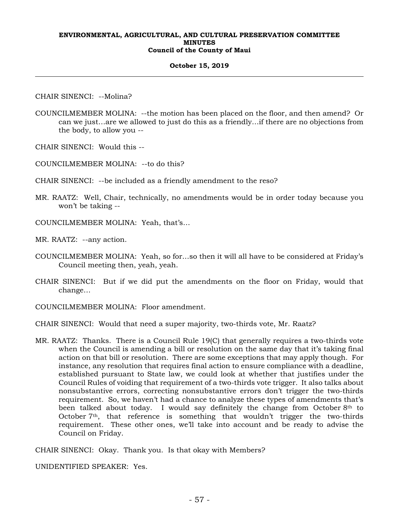#### **October 15, 2019**

CHAIR SINENCI: --Molina?

COUNCILMEMBER MOLINA: --the motion has been placed on the floor, and then amend? Or can we just…are we allowed to just do this as a friendly…if there are no objections from the body, to allow you --

CHAIR SINENCI: Would this --

COUNCILMEMBER MOLINA: --to do this?

CHAIR SINENCI: --be included as a friendly amendment to the reso?

MR. RAATZ: Well, Chair, technically, no amendments would be in order today because you won't be taking --

COUNCILMEMBER MOLINA: Yeah, that's…

MR. RAATZ: --any action.

- COUNCILMEMBER MOLINA: Yeah, so for…so then it will all have to be considered at Friday's Council meeting then, yeah, yeah.
- CHAIR SINENCI: But if we did put the amendments on the floor on Friday, would that change…
- COUNCILMEMBER MOLINA: Floor amendment.

CHAIR SINENCI: Would that need a super majority, two-thirds vote, Mr. Raatz?

MR. RAATZ: Thanks. There is a Council Rule 19(C) that generally requires a two-thirds vote when the Council is amending a bill or resolution on the same day that it's taking final action on that bill or resolution. There are some exceptions that may apply though. For instance, any resolution that requires final action to ensure compliance with a deadline, established pursuant to State law, we could look at whether that justifies under the Council Rules of voiding that requirement of a two-thirds vote trigger. It also talks about nonsubstantive errors, correcting nonsubstantive errors don't trigger the two-thirds requirement. So, we haven't had a chance to analyze these types of amendments that's been talked about today. I would say definitely the change from October 8<sup>th</sup> to October 7th, that reference is something that wouldn't trigger the two-thirds requirement. These other ones, we'll take into account and be ready to advise the Council on Friday.

CHAIR SINENCI: Okay. Thank you. Is that okay with Members?

UNIDENTIFIED SPEAKER: Yes.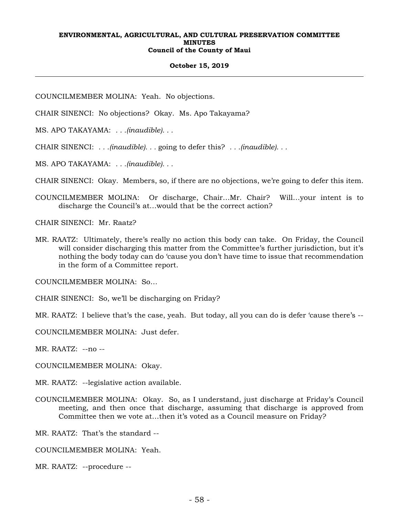#### **October 15, 2019**

COUNCILMEMBER MOLINA: Yeah. No objections.

CHAIR SINENCI: No objections? Okay. Ms. Apo Takayama?

MS. APO TAKAYAMA: *. . .(inaudible). . .* 

CHAIR SINENCI: *. . .(inaudible). . .* going to defer this? *. . .(inaudible). . .*

MS. APO TAKAYAMA: *. . .(inaudible). . .* 

CHAIR SINENCI: Okay. Members, so, if there are no objections, we're going to defer this item.

COUNCILMEMBER MOLINA: Or discharge, Chair…Mr. Chair? Will…your intent is to discharge the Council's at…would that be the correct action?

CHAIR SINENCI: Mr. Raatz?

MR. RAATZ: Ultimately, there's really no action this body can take. On Friday, the Council will consider discharging this matter from the Committee's further jurisdiction, but it's nothing the body today can do 'cause you don't have time to issue that recommendation in the form of a Committee report.

COUNCILMEMBER MOLINA: So…

CHAIR SINENCI: So, we'll be discharging on Friday?

MR. RAATZ: I believe that's the case, yeah. But today, all you can do is defer 'cause there's --

COUNCILMEMBER MOLINA: Just defer.

MR. RAATZ: --no --

COUNCILMEMBER MOLINA: Okay.

MR. RAATZ: --legislative action available.

COUNCILMEMBER MOLINA: Okay. So, as I understand, just discharge at Friday's Council meeting, and then once that discharge, assuming that discharge is approved from Committee then we vote at…then it's voted as a Council measure on Friday?

MR. RAATZ: That's the standard --

COUNCILMEMBER MOLINA: Yeah.

MR. RAATZ: --procedure --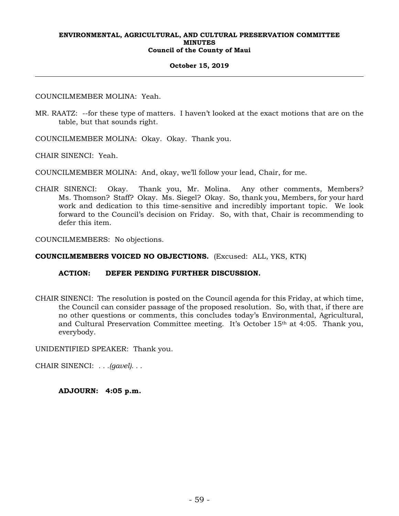## **October 15, 2019**

COUNCILMEMBER MOLINA: Yeah.

MR. RAATZ: --for these type of matters. I haven't looked at the exact motions that are on the table, but that sounds right.

COUNCILMEMBER MOLINA: Okay. Okay. Thank you.

CHAIR SINENCI: Yeah.

COUNCILMEMBER MOLINA: And, okay, we'll follow your lead, Chair, for me.

CHAIR SINENCI: Okay. Thank you, Mr. Molina. Any other comments, Members? Ms. Thomson? Staff? Okay. Ms. Siegel? Okay. So, thank you, Members, for your hard work and dedication to this time-sensitive and incredibly important topic. We look forward to the Council's decision on Friday. So, with that, Chair is recommending to defer this item.

COUNCILMEMBERS: No objections.

**COUNCILMEMBERS VOICED NO OBJECTIONS.** (Excused: ALL, YKS, KTK)

## **ACTION: DEFER PENDING FURTHER DISCUSSION.**

CHAIR SINENCI: The resolution is posted on the Council agenda for this Friday, at which time, the Council can consider passage of the proposed resolution. So, with that, if there are no other questions or comments, this concludes today's Environmental, Agricultural, and Cultural Preservation Committee meeting. It's October 15th at 4:05. Thank you, everybody.

UNIDENTIFIED SPEAKER: Thank you.

CHAIR SINENCI: *. . .(gavel). . .*

**ADJOURN: 4:05 p.m.**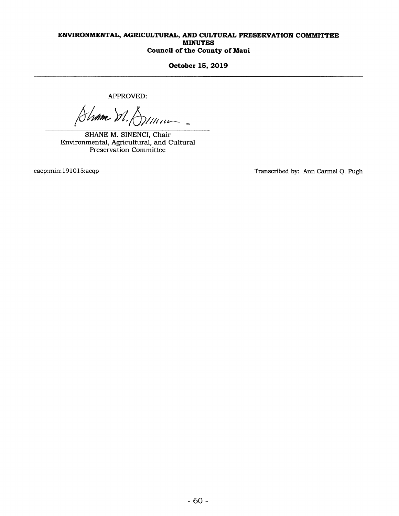October 15, 2019

APPROVED:

Shame M. Dinner-

SHANE M. SINENCI, Chair Environmental, Agricultural, and Cultural Preservation Committee

eacp:min:191015:acqp Transcribed by: Ann Carmel Q. Pugh